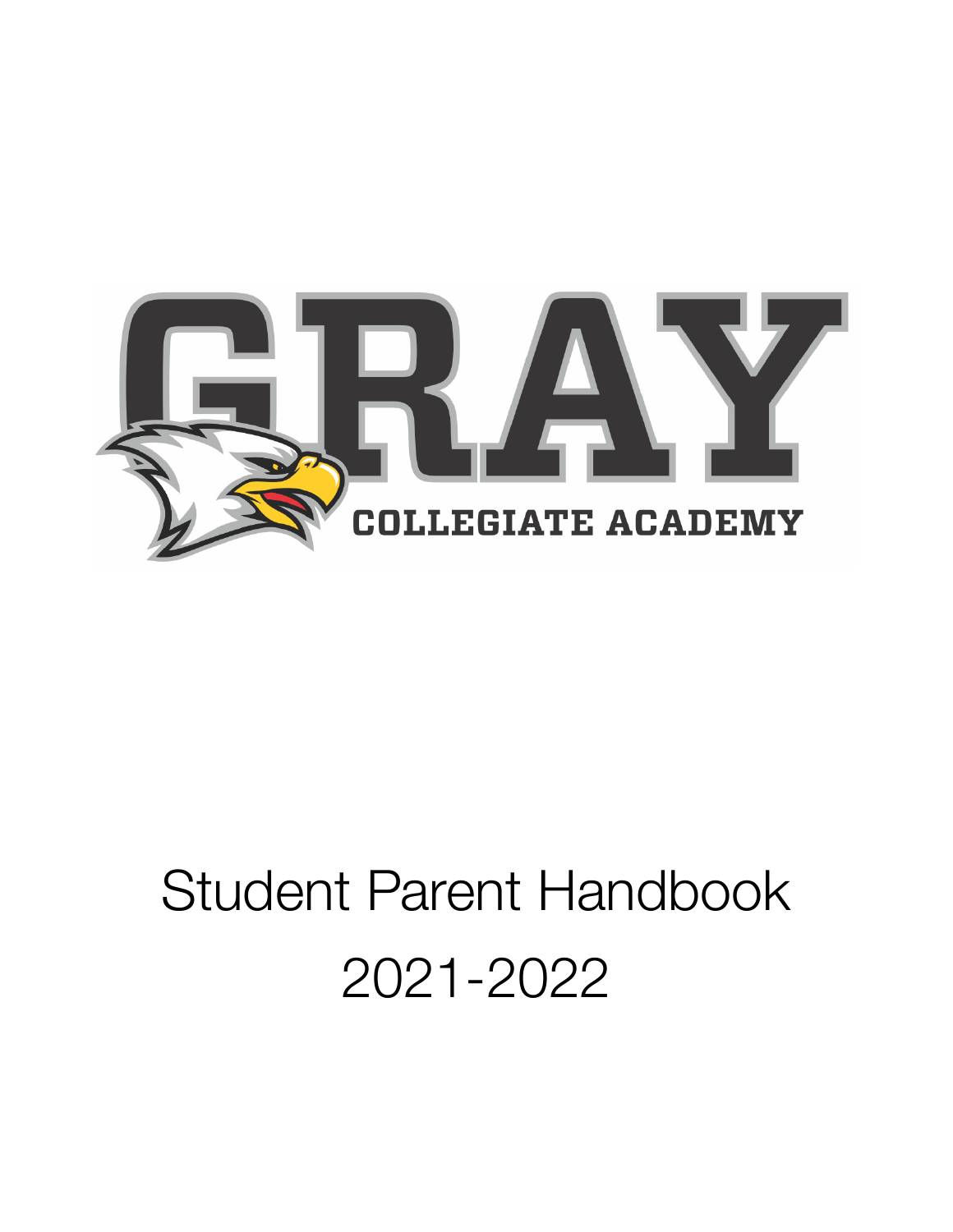

# Student Parent Handbook 2021-2022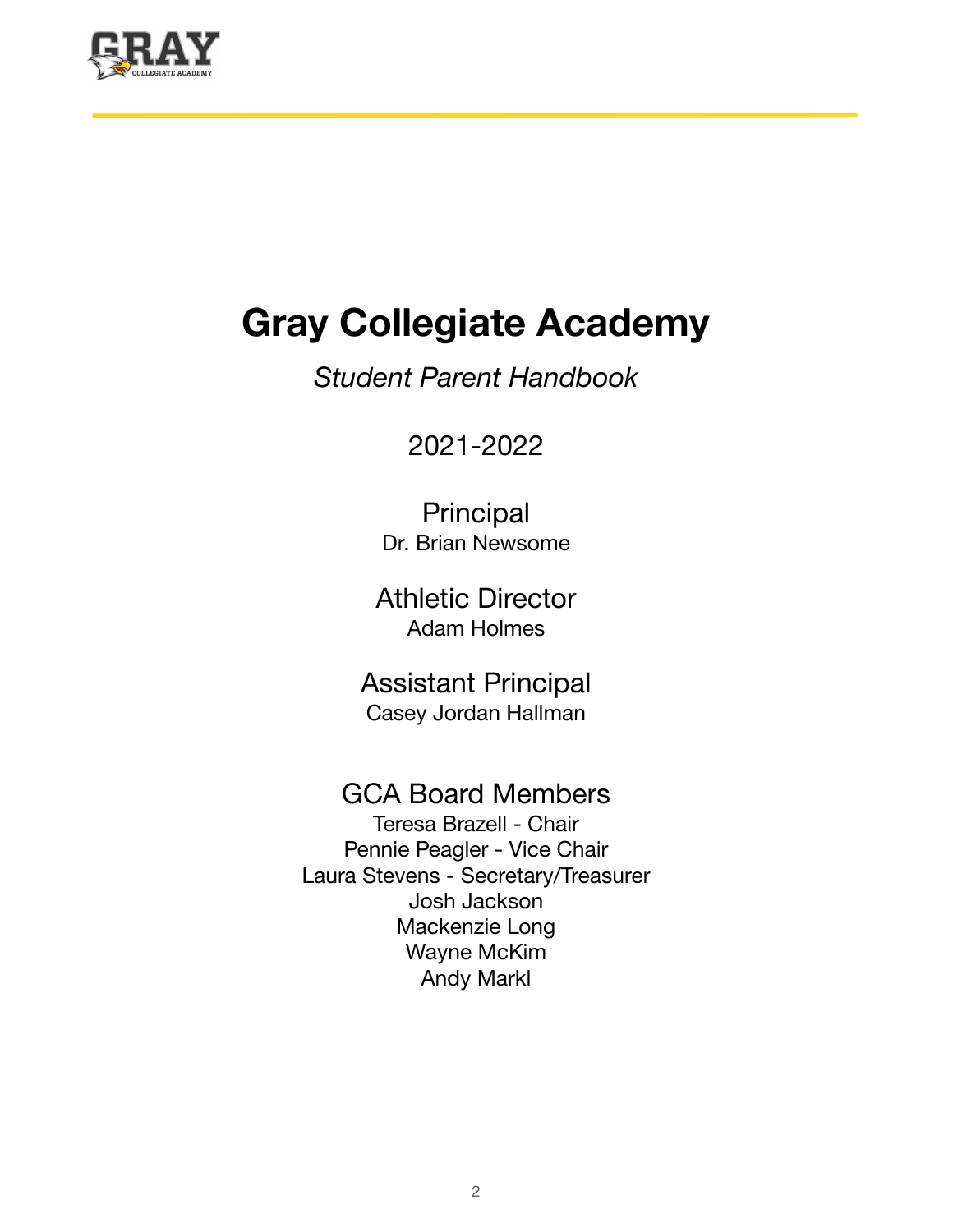

## **Gray Collegiate Academy**

*Student Parent Handbook*

### 2021-2022

Principal Dr. Brian Newsome

Athletic Director Adam Holmes

Assistant Principal Casey Jordan Hallman

### GCA Board Members

Teresa Brazell - Chair Pennie Peagler - Vice Chair Laura Stevens - Secretary/Treasurer Josh Jackson Mackenzie Long Wayne McKim Andy Markl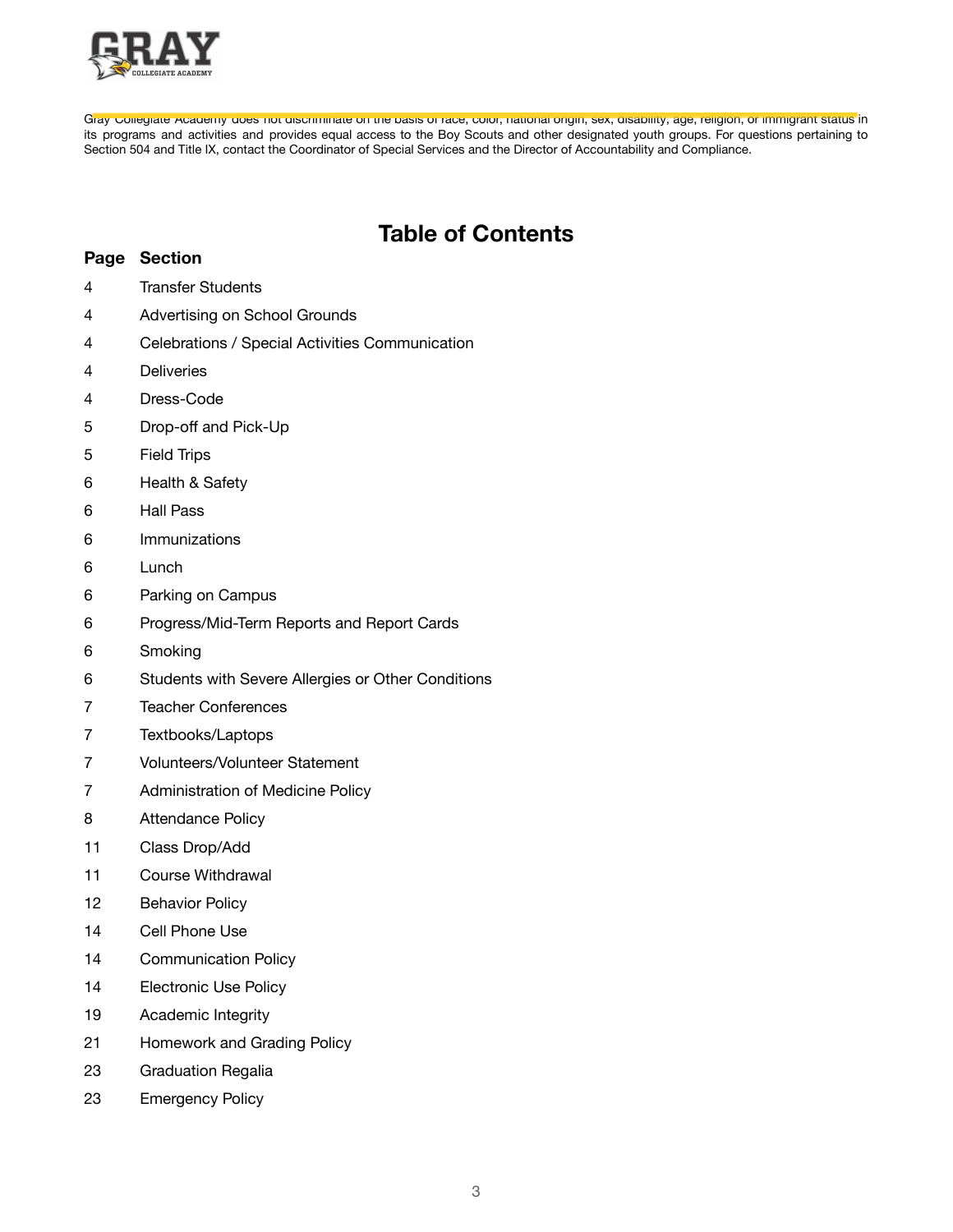

Gray Collegiate Academy does not discriminate on the basis of race, color, national origin, sex, disability, age, religion, or immigrant status in its programs and activities and provides equal access to the Boy Scouts and other designated youth groups. For questions pertaining to Section 504 and Title IX, contact the Coordinator of Special Services and the Director of Accountability and Compliance.

### **Table of Contents**

#### **Page Section**

- Transfer Students
- Advertising on School Grounds
- Celebrations / Special Activities Communication
- Deliveries
- Dress-Code
- Drop-off and Pick-Up
- Field Trips
- Health & Safety
- Hall Pass
- Immunizations
- Lunch
- Parking on Campus
- Progress/Mid-Term Reports and Report Cards
- Smoking
- Students with Severe Allergies or Other Conditions
- Teacher Conferences
- Textbooks/Laptops
- Volunteers/Volunteer Statement
- Administration of Medicine Policy
- Attendance Policy
- Class Drop/Add
- Course Withdrawal
- Behavior Policy
- Cell Phone Use
- Communication Policy
- Electronic Use Policy
- Academic Integrity
- Homework and Grading Policy
- Graduation Regalia
- Emergency Policy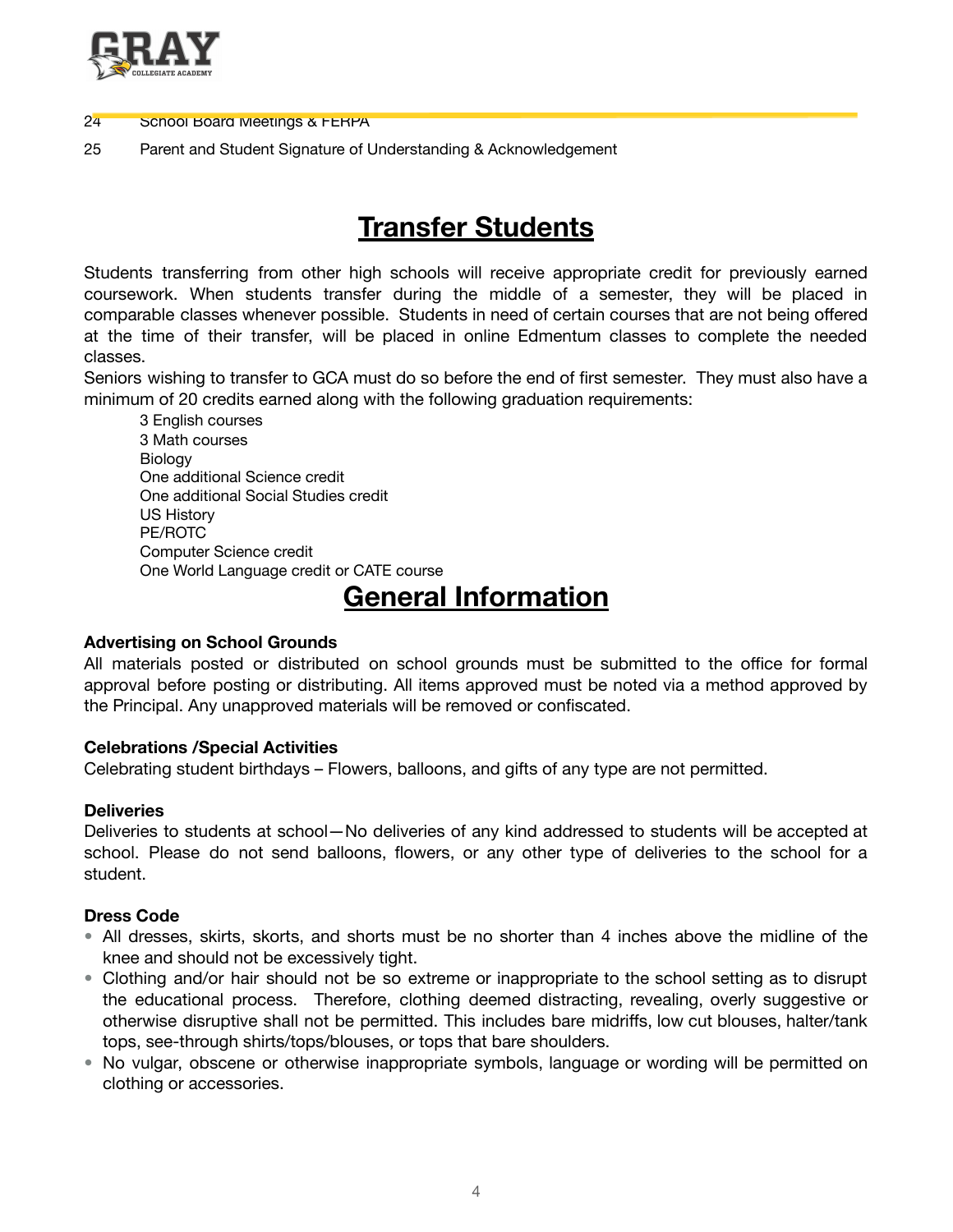

### 24 School Board Meetings & FERPA

25 Parent and Student Signature of Understanding & Acknowledgement

### **Transfer Students**

Students transferring from other high schools will receive appropriate credit for previously earned coursework. When students transfer during the middle of a semester, they will be placed in comparable classes whenever possible. Students in need of certain courses that are not being offered at the time of their transfer, will be placed in online Edmentum classes to complete the needed classes.

Seniors wishing to transfer to GCA must do so before the end of first semester. They must also have a minimum of 20 credits earned along with the following graduation requirements:

3 English courses 3 Math courses Biology One additional Science credit One additional Social Studies credit US History PE/ROTC Computer Science credit One World Language credit or CATE course

### **General Information**

### **Advertising on School Grounds**

All materials posted or distributed on school grounds must be submitted to the office for formal approval before posting or distributing. All items approved must be noted via a method approved by the Principal. Any unapproved materials will be removed or confiscated.

### **Celebrations /Special Activities**

Celebrating student birthdays – Flowers, balloons, and gifts of any type are not permitted.

### **Deliveries**

Deliveries to students at school—No deliveries of any kind addressed to students will be accepted at school. Please do not send balloons, flowers, or any other type of deliveries to the school for a student.

### **Dress Code**

- All dresses, skirts, skorts, and shorts must be no shorter than 4 inches above the midline of the knee and should not be excessively tight.
- Clothing and/or hair should not be so extreme or inappropriate to the school setting as to disrupt the educational process. Therefore, clothing deemed distracting, revealing, overly suggestive or otherwise disruptive shall not be permitted. This includes bare midriffs, low cut blouses, halter/tank tops, see-through shirts/tops/blouses, or tops that bare shoulders.
- No vulgar, obscene or otherwise inappropriate symbols, language or wording will be permitted on clothing or accessories.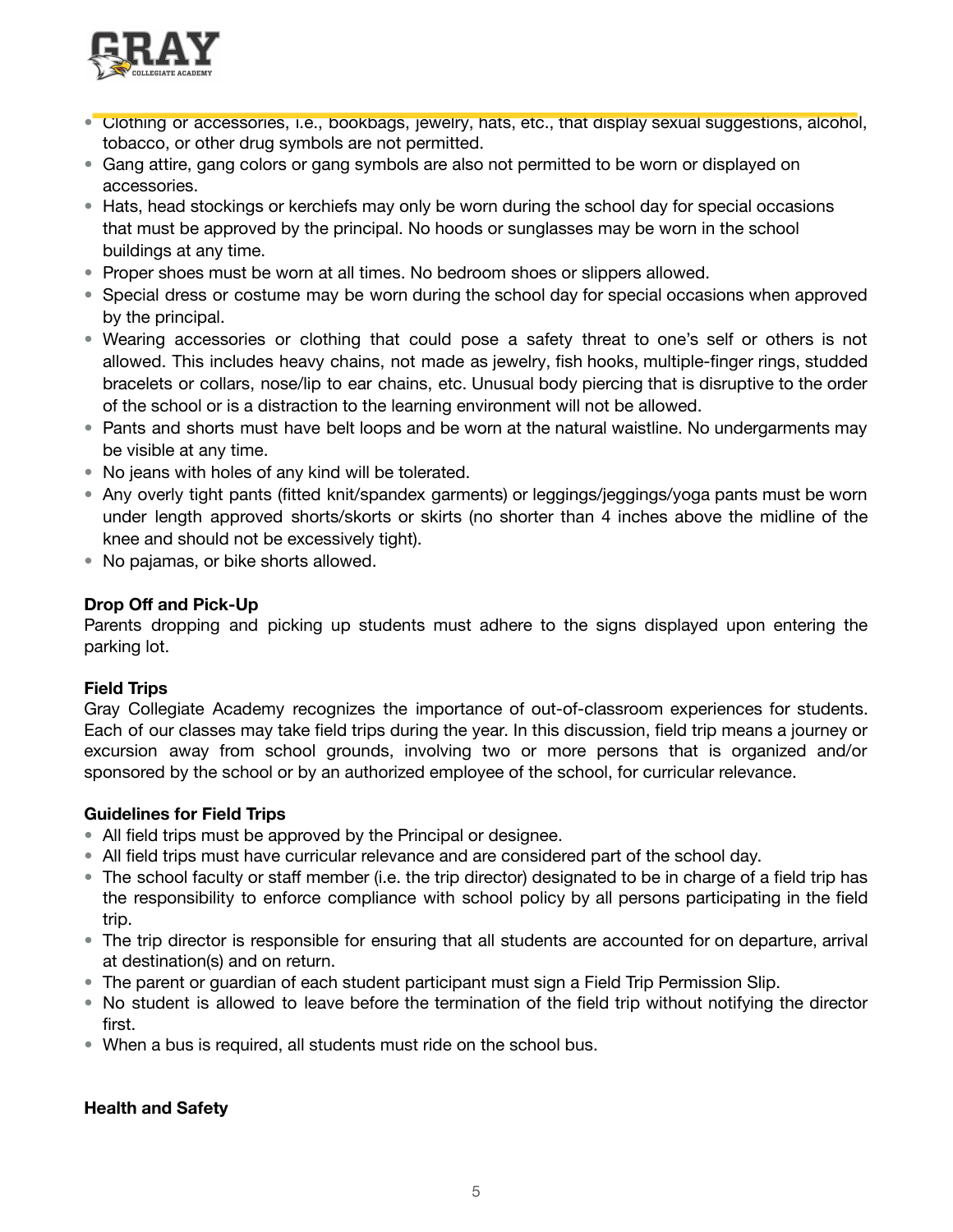

- Clothing or accessories, i.e., bookbags, jewelry, hats, etc., that display sexual suggestions, alcohol, tobacco, or other drug symbols are not permitted.
- Gang attire, gang colors or gang symbols are also not permitted to be worn or displayed on accessories.
- Hats, head stockings or kerchiefs may only be worn during the school day for special occasions that must be approved by the principal. No hoods or sunglasses may be worn in the school buildings at any time.
- Proper shoes must be worn at all times. No bedroom shoes or slippers allowed.
- Special dress or costume may be worn during the school day for special occasions when approved by the principal.
- Wearing accessories or clothing that could pose a safety threat to one's self or others is not allowed. This includes heavy chains, not made as jewelry, fish hooks, multiple-finger rings, studded bracelets or collars, nose/lip to ear chains, etc. Unusual body piercing that is disruptive to the order of the school or is a distraction to the learning environment will not be allowed.
- Pants and shorts must have belt loops and be worn at the natural waistline. No undergarments may be visible at any time.
- No jeans with holes of any kind will be tolerated.
- Any overly tight pants (fitted knit/spandex garments) or leggings/jeggings/yoga pants must be worn under length approved shorts/skorts or skirts (no shorter than 4 inches above the midline of the knee and should not be excessively tight).
- No pajamas, or bike shorts allowed.

### **Drop Off and Pick-Up**

Parents dropping and picking up students must adhere to the signs displayed upon entering the parking lot.

### **Field Trips**

Gray Collegiate Academy recognizes the importance of out-of-classroom experiences for students. Each of our classes may take field trips during the year. In this discussion, field trip means a journey or excursion away from school grounds, involving two or more persons that is organized and/or sponsored by the school or by an authorized employee of the school, for curricular relevance.

### **Guidelines for Field Trips**

- All field trips must be approved by the Principal or designee.
- All field trips must have curricular relevance and are considered part of the school day.
- The school faculty or staff member (i.e. the trip director) designated to be in charge of a field trip has the responsibility to enforce compliance with school policy by all persons participating in the field trip.
- The trip director is responsible for ensuring that all students are accounted for on departure, arrival at destination(s) and on return.
- The parent or guardian of each student participant must sign a Field Trip Permission Slip.
- No student is allowed to leave before the termination of the field trip without notifying the director first.
- When a bus is required, all students must ride on the school bus.

### **Health and Safety**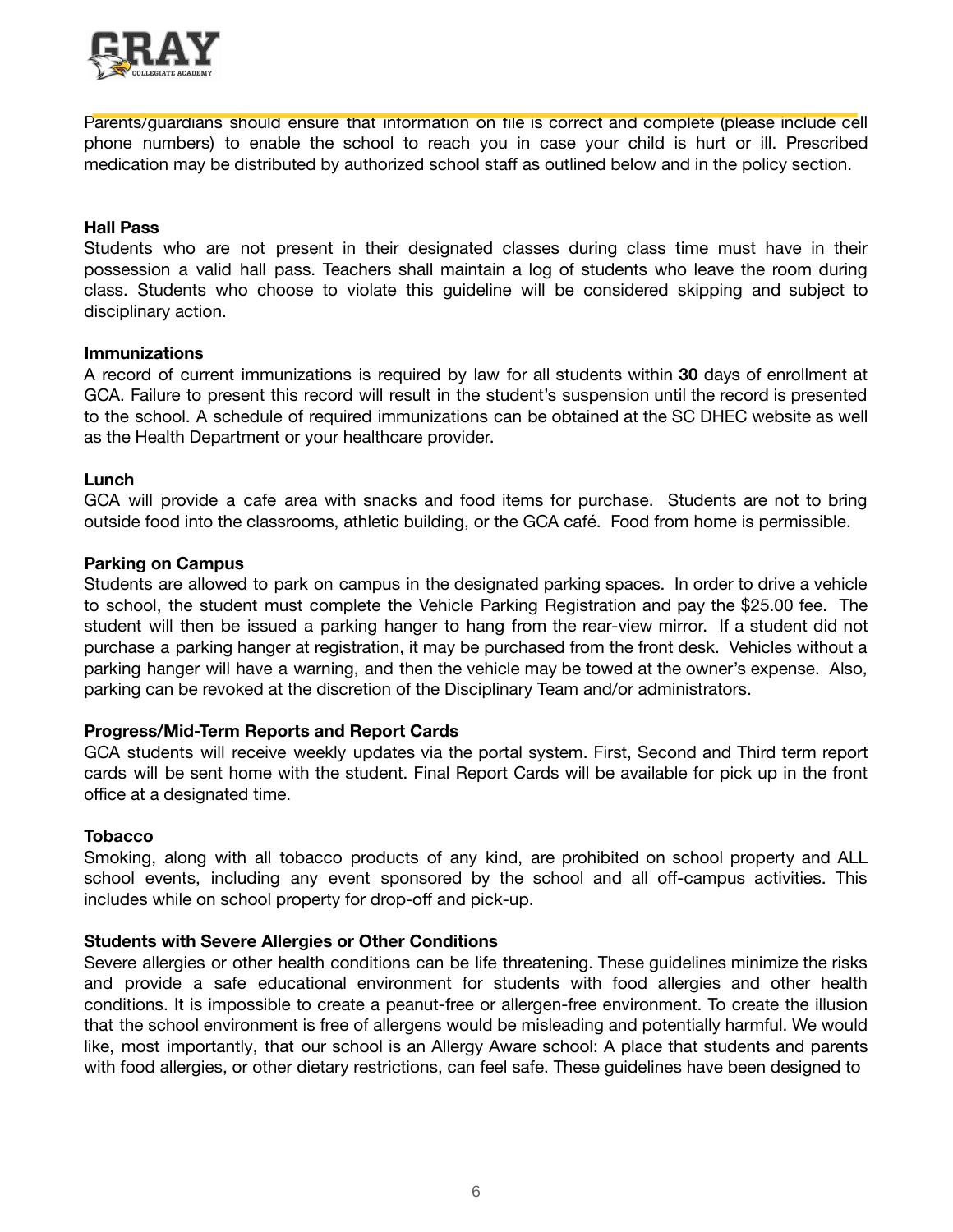

Parents/guardians should ensure that information on file is correct and complete (please include cell phone numbers) to enable the school to reach you in case your child is hurt or ill. Prescribed medication may be distributed by authorized school staff as outlined below and in the policy section.

### **Hall Pass**

Students who are not present in their designated classes during class time must have in their possession a valid hall pass. Teachers shall maintain a log of students who leave the room during class. Students who choose to violate this guideline will be considered skipping and subject to disciplinary action.

### **Immunizations**

A record of current immunizations is required by law for all students within **30** days of enrollment at GCA. Failure to present this record will result in the student's suspension until the record is presented to the school. A schedule of required immunizations can be obtained at the SC DHEC website as well as the Health Department or your healthcare provider.

### **Lunch**

GCA will provide a cafe area with snacks and food items for purchase. Students are not to bring outside food into the classrooms, athletic building, or the GCA café. Food from home is permissible.

### **Parking on Campus**

Students are allowed to park on campus in the designated parking spaces. In order to drive a vehicle to school, the student must complete the Vehicle Parking Registration and pay the \$25.00 fee. The student will then be issued a parking hanger to hang from the rear-view mirror. If a student did not purchase a parking hanger at registration, it may be purchased from the front desk. Vehicles without a parking hanger will have a warning, and then the vehicle may be towed at the owner's expense. Also, parking can be revoked at the discretion of the Disciplinary Team and/or administrators.

### **Progress/Mid-Term Reports and Report Cards**

GCA students will receive weekly updates via the portal system. First, Second and Third term report cards will be sent home with the student. Final Report Cards will be available for pick up in the front office at a designated time.

#### **Tobacco**

Smoking, along with all tobacco products of any kind, are prohibited on school property and ALL school events, including any event sponsored by the school and all off-campus activities. This includes while on school property for drop-off and pick-up.

### **Students with Severe Allergies or Other Conditions**

Severe allergies or other health conditions can be life threatening. These guidelines minimize the risks and provide a safe educational environment for students with food allergies and other health conditions. It is impossible to create a peanut-free or allergen-free environment. To create the illusion that the school environment is free of allergens would be misleading and potentially harmful. We would like, most importantly, that our school is an Allergy Aware school: A place that students and parents with food allergies, or other dietary restrictions, can feel safe. These guidelines have been designed to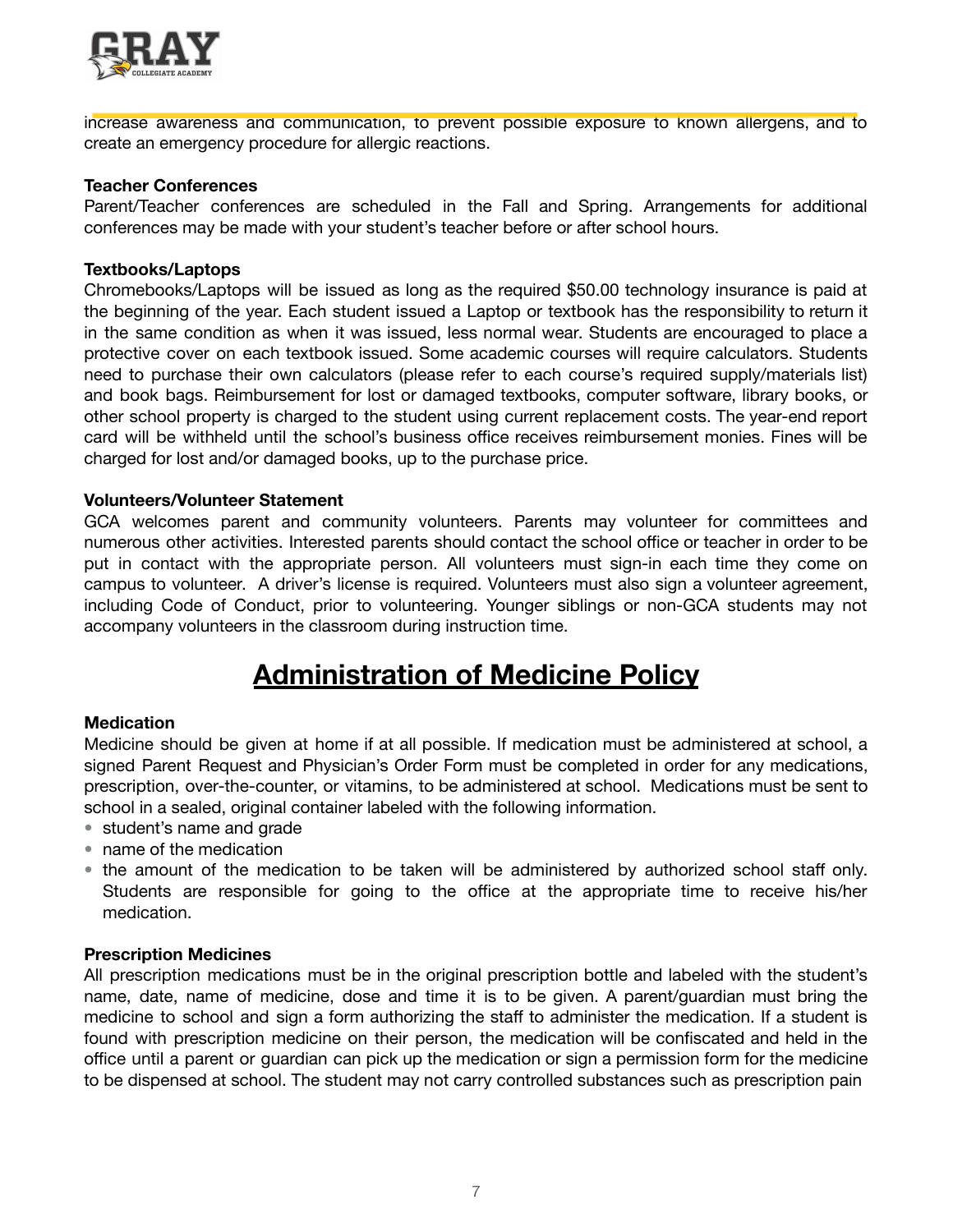

increase awareness and communication, to prevent possible exposure to known allergens, and to create an emergency procedure for allergic reactions.

#### **Teacher Conferences**

Parent/Teacher conferences are scheduled in the Fall and Spring. Arrangements for additional conferences may be made with your student's teacher before or after school hours.

#### **Textbooks/Laptops**

Chromebooks/Laptops will be issued as long as the required \$50.00 technology insurance is paid at the beginning of the year. Each student issued a Laptop or textbook has the responsibility to return it in the same condition as when it was issued, less normal wear. Students are encouraged to place a protective cover on each textbook issued. Some academic courses will require calculators. Students need to purchase their own calculators (please refer to each course's required supply/materials list) and book bags. Reimbursement for lost or damaged textbooks, computer software, library books, or other school property is charged to the student using current replacement costs. The year-end report card will be withheld until the school's business office receives reimbursement monies. Fines will be charged for lost and/or damaged books, up to the purchase price.

#### **Volunteers/Volunteer Statement**

GCA welcomes parent and community volunteers. Parents may volunteer for committees and numerous other activities. Interested parents should contact the school office or teacher in order to be put in contact with the appropriate person. All volunteers must sign-in each time they come on campus to volunteer. A driver's license is required. Volunteers must also sign a volunteer agreement, including Code of Conduct, prior to volunteering. Younger siblings or non-GCA students may not accompany volunteers in the classroom during instruction time.

### **Administration of Medicine Policy**

#### **Medication**

Medicine should be given at home if at all possible. If medication must be administered at school, a signed Parent Request and Physician's Order Form must be completed in order for any medications, prescription, over-the-counter, or vitamins, to be administered at school. Medications must be sent to school in a sealed, original container labeled with the following information.

- student's name and grade
- name of the medication
- the amount of the medication to be taken will be administered by authorized school staff only. Students are responsible for going to the office at the appropriate time to receive his/her medication.

#### **Prescription Medicines**

All prescription medications must be in the original prescription bottle and labeled with the student's name, date, name of medicine, dose and time it is to be given. A parent/guardian must bring the medicine to school and sign a form authorizing the staff to administer the medication. If a student is found with prescription medicine on their person, the medication will be confiscated and held in the office until a parent or guardian can pick up the medication or sign a permission form for the medicine to be dispensed at school. The student may not carry controlled substances such as prescription pain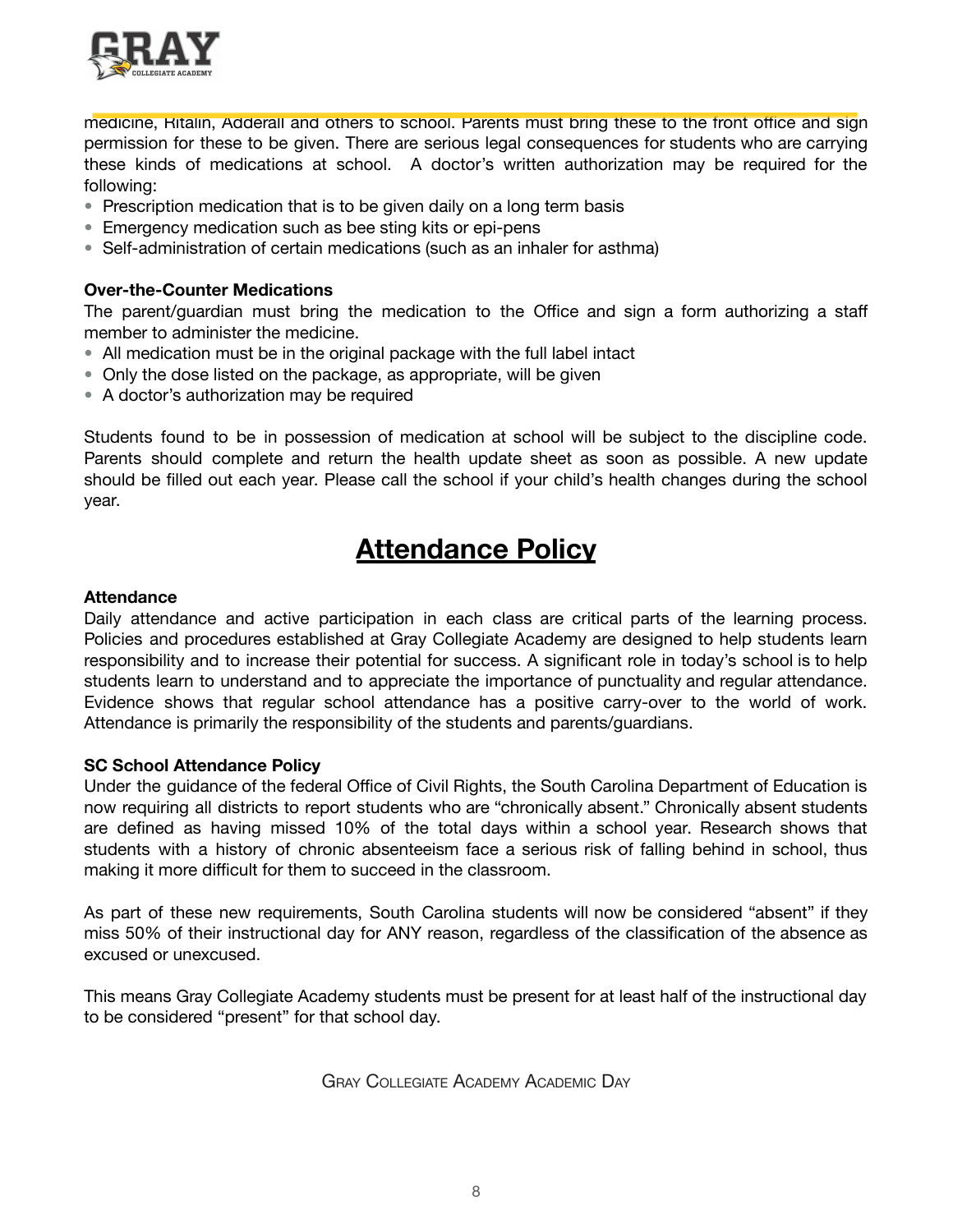

medicine, Ritalin, Adderall and others to school. Parents must bring these to the front office and sign permission for these to be given. There are serious legal consequences for students who are carrying these kinds of medications at school. A doctor's written authorization may be required for the following:

- Prescription medication that is to be given daily on a long term basis
- Emergency medication such as bee sting kits or epi-pens
- Self-administration of certain medications (such as an inhaler for asthma)

### **Over-the-Counter Medications**

The parent/guardian must bring the medication to the Office and sign a form authorizing a staff member to administer the medicine.

- All medication must be in the original package with the full label intact
- Only the dose listed on the package, as appropriate, will be given
- A doctor's authorization may be required

Students found to be in possession of medication at school will be subject to the discipline code. Parents should complete and return the health update sheet as soon as possible. A new update should be filled out each year. Please call the school if your child's health changes during the school year.

### **Attendance Policy**

### **Attendance**

Daily attendance and active participation in each class are critical parts of the learning process. Policies and procedures established at Gray Collegiate Academy are designed to help students learn responsibility and to increase their potential for success. A significant role in today's school is to help students learn to understand and to appreciate the importance of punctuality and regular attendance. Evidence shows that regular school attendance has a positive carry-over to the world of work. Attendance is primarily the responsibility of the students and parents/guardians.

### **SC School Attendance Policy**

Under the guidance of the federal Office of Civil Rights, the South Carolina Department of Education is now requiring all districts to report students who are "chronically absent." Chronically absent students are defined as having missed 10% of the total days within a school year. Research shows that students with a history of chronic absenteeism face a serious risk of falling behind in school, thus making it more difficult for them to succeed in the classroom.

As part of these new requirements, South Carolina students will now be considered "absent" if they miss 50% of their instructional day for ANY reason, regardless of the classification of the absence as excused or unexcused.

This means Gray Collegiate Academy students must be present for at least half of the instructional day to be considered "present" for that school day.

GRAY COLLEGIATE ACADEMY ACADEMIC DAY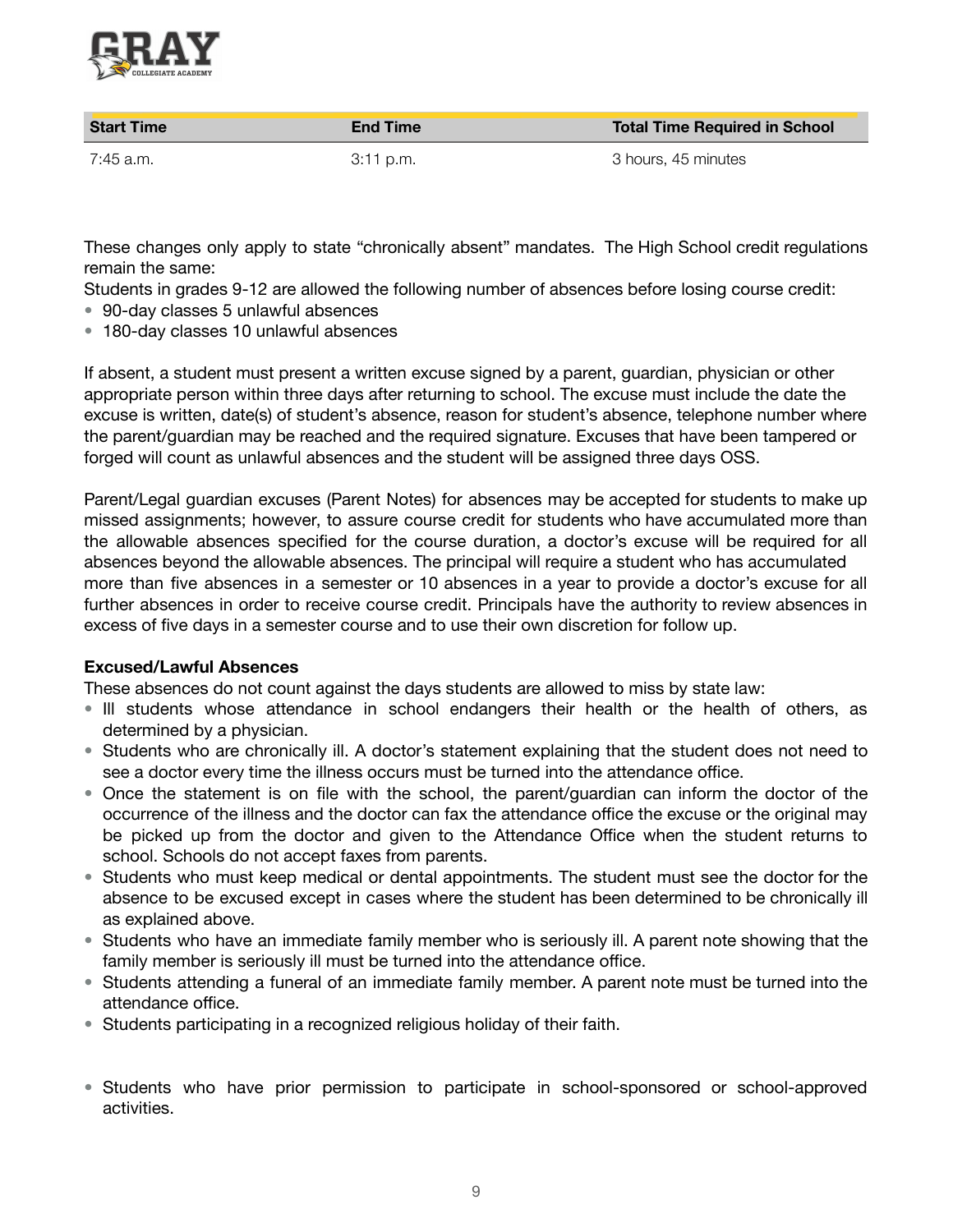

| <b>Start Time</b> | <b>End Time</b> | <b>Total Time Required in School</b> |
|-------------------|-----------------|--------------------------------------|
| 7:45 a.m.         | 3:11 p.m.       | 3 hours, 45 minutes                  |

These changes only apply to state "chronically absent" mandates. The High School credit regulations remain the same:

Students in grades 9-12 are allowed the following number of absences before losing course credit:

- 90-day classes 5 unlawful absences
- 180-day classes 10 unlawful absences

If absent, a student must present a written excuse signed by a parent, guardian, physician or other appropriate person within three days after returning to school. The excuse must include the date the excuse is written, date(s) of student's absence, reason for student's absence, telephone number where the parent/guardian may be reached and the required signature. Excuses that have been tampered or forged will count as unlawful absences and the student will be assigned three days OSS.

Parent/Legal guardian excuses (Parent Notes) for absences may be accepted for students to make up missed assignments; however, to assure course credit for students who have accumulated more than the allowable absences specified for the course duration, a doctor's excuse will be required for all absences beyond the allowable absences. The principal will require a student who has accumulated more than five absences in a semester or 10 absences in a year to provide a doctor's excuse for all further absences in order to receive course credit. Principals have the authority to review absences in excess of five days in a semester course and to use their own discretion for follow up.

### **Excused/Lawful Absences**

These absences do not count against the days students are allowed to miss by state law:

- Ill students whose attendance in school endangers their health or the health of others, as determined by a physician.
- Students who are chronically ill. A doctor's statement explaining that the student does not need to see a doctor every time the illness occurs must be turned into the attendance office.
- Once the statement is on file with the school, the parent/guardian can inform the doctor of the occurrence of the illness and the doctor can fax the attendance office the excuse or the original may be picked up from the doctor and given to the Attendance Office when the student returns to school. Schools do not accept faxes from parents.
- Students who must keep medical or dental appointments. The student must see the doctor for the absence to be excused except in cases where the student has been determined to be chronically ill as explained above.
- Students who have an immediate family member who is seriously ill. A parent note showing that the family member is seriously ill must be turned into the attendance office.
- Students attending a funeral of an immediate family member. A parent note must be turned into the attendance office.
- Students participating in a recognized religious holiday of their faith.
- Students who have prior permission to participate in school-sponsored or school-approved activities.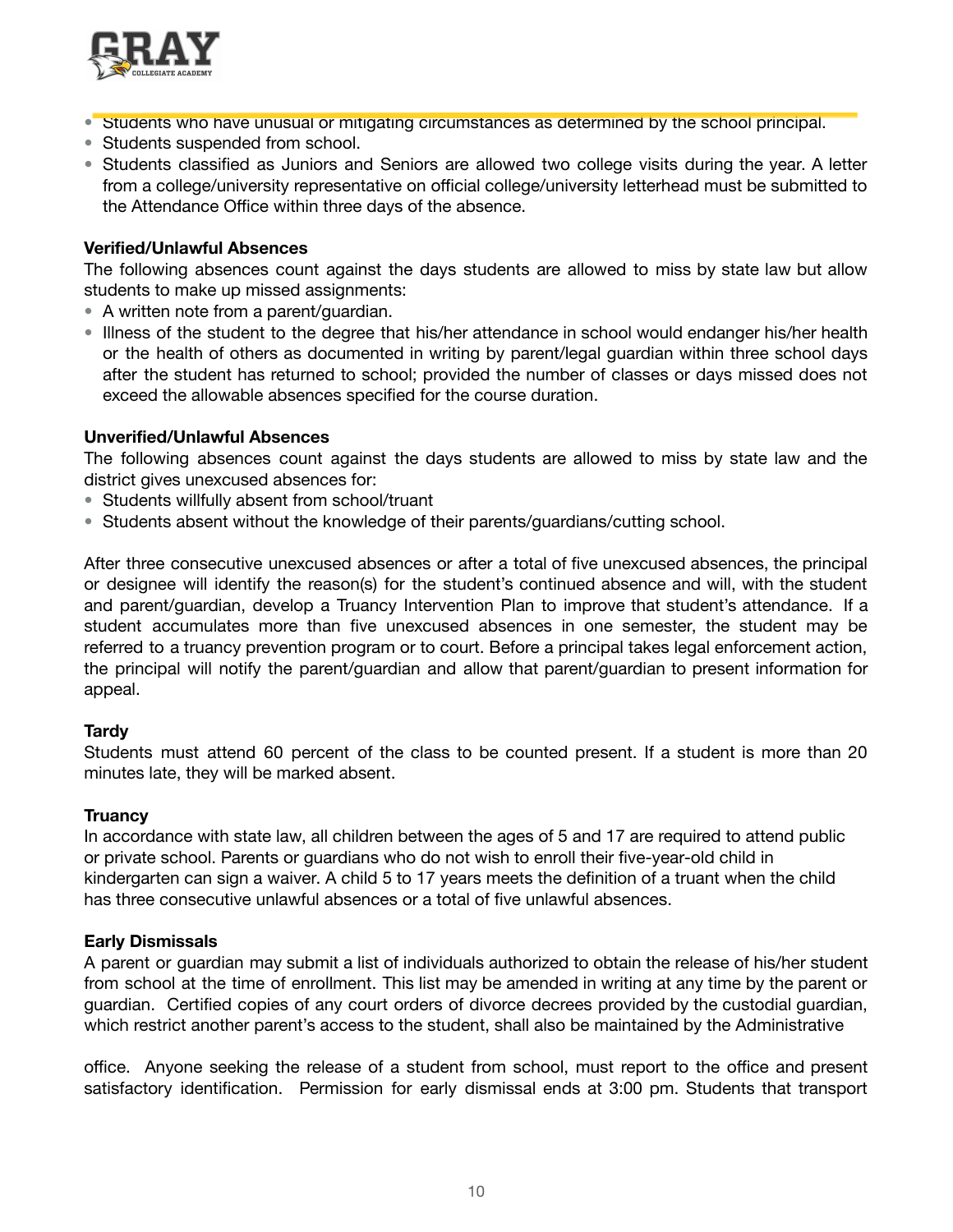

- Students who have unusual or mitigating circumstances as determined by the school principal.
- **•** Students suspended from school.
- Students classified as Juniors and Seniors are allowed two college visits during the year. A letter from a college/university representative on official college/university letterhead must be submitted to the Attendance Office within three days of the absence.

### **Verified/Unlawful Absences**

The following absences count against the days students are allowed to miss by state law but allow students to make up missed assignments:

- A written note from a parent/guardian.
- Illness of the student to the degree that his/her attendance in school would endanger his/her health or the health of others as documented in writing by parent/legal guardian within three school days after the student has returned to school; provided the number of classes or days missed does not exceed the allowable absences specified for the course duration.

### **Unverified/Unlawful Absences**

The following absences count against the days students are allowed to miss by state law and the district gives unexcused absences for:

- Students willfully absent from school/truant
- Students absent without the knowledge of their parents/guardians/cutting school.

After three consecutive unexcused absences or after a total of five unexcused absences, the principal or designee will identify the reason(s) for the student's continued absence and will, with the student and parent/guardian, develop a Truancy Intervention Plan to improve that student's attendance. If a student accumulates more than five unexcused absences in one semester, the student may be referred to a truancy prevention program or to court. Before a principal takes legal enforcement action, the principal will notify the parent/guardian and allow that parent/guardian to present information for appeal.

### **Tardy**

Students must attend 60 percent of the class to be counted present. If a student is more than 20 minutes late, they will be marked absent.

### **Truancy**

In accordance with state law, all children between the ages of 5 and 17 are required to attend public or private school. Parents or guardians who do not wish to enroll their five-year-old child in kindergarten can sign a waiver. A child 5 to 17 years meets the definition of a truant when the child has three consecutive unlawful absences or a total of five unlawful absences.

### **Early Dismissals**

A parent or guardian may submit a list of individuals authorized to obtain the release of his/her student from school at the time of enrollment. This list may be amended in writing at any time by the parent or guardian. Certified copies of any court orders of divorce decrees provided by the custodial guardian, which restrict another parent's access to the student, shall also be maintained by the Administrative

office. Anyone seeking the release of a student from school, must report to the office and present satisfactory identification. Permission for early dismissal ends at 3:00 pm. Students that transport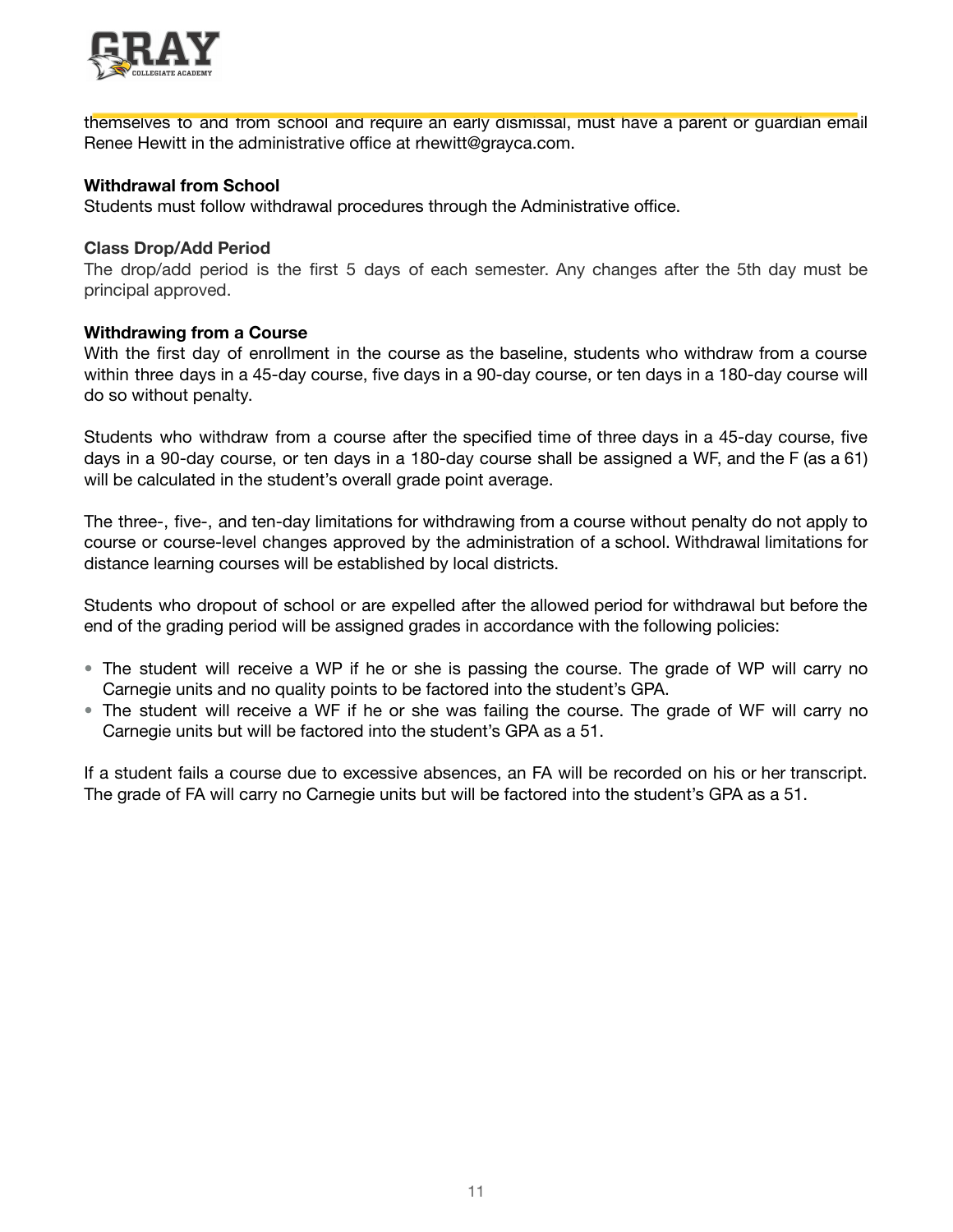

themselves to and from school and require an early dismissal, must have a parent or guardian email Renee Hewitt in the administrative office at rhewitt@grayca.com.

### **Withdrawal from School**

Students must follow withdrawal procedures through the Administrative office.

### **Class Drop/Add Period**

The drop/add period is the first 5 days of each semester. Any changes after the 5th day must be principal approved.

### **Withdrawing from a Course**

With the first day of enrollment in the course as the baseline, students who withdraw from a course within three days in a 45-day course, five days in a 90-day course, or ten days in a 180-day course will do so without penalty.

Students who withdraw from a course after the specified time of three days in a 45-day course, five days in a 90-day course, or ten days in a 180-day course shall be assigned a WF, and the F (as a 61) will be calculated in the student's overall grade point average.

The three-, five-, and ten-day limitations for withdrawing from a course without penalty do not apply to course or course-level changes approved by the administration of a school. Withdrawal limitations for distance learning courses will be established by local districts.

Students who dropout of school or are expelled after the allowed period for withdrawal but before the end of the grading period will be assigned grades in accordance with the following policies:

- The student will receive a WP if he or she is passing the course. The grade of WP will carry no Carnegie units and no quality points to be factored into the student's GPA.
- The student will receive a WF if he or she was failing the course. The grade of WF will carry no Carnegie units but will be factored into the student's GPA as a 51.

If a student fails a course due to excessive absences, an FA will be recorded on his or her transcript. The grade of FA will carry no Carnegie units but will be factored into the student's GPA as a 51.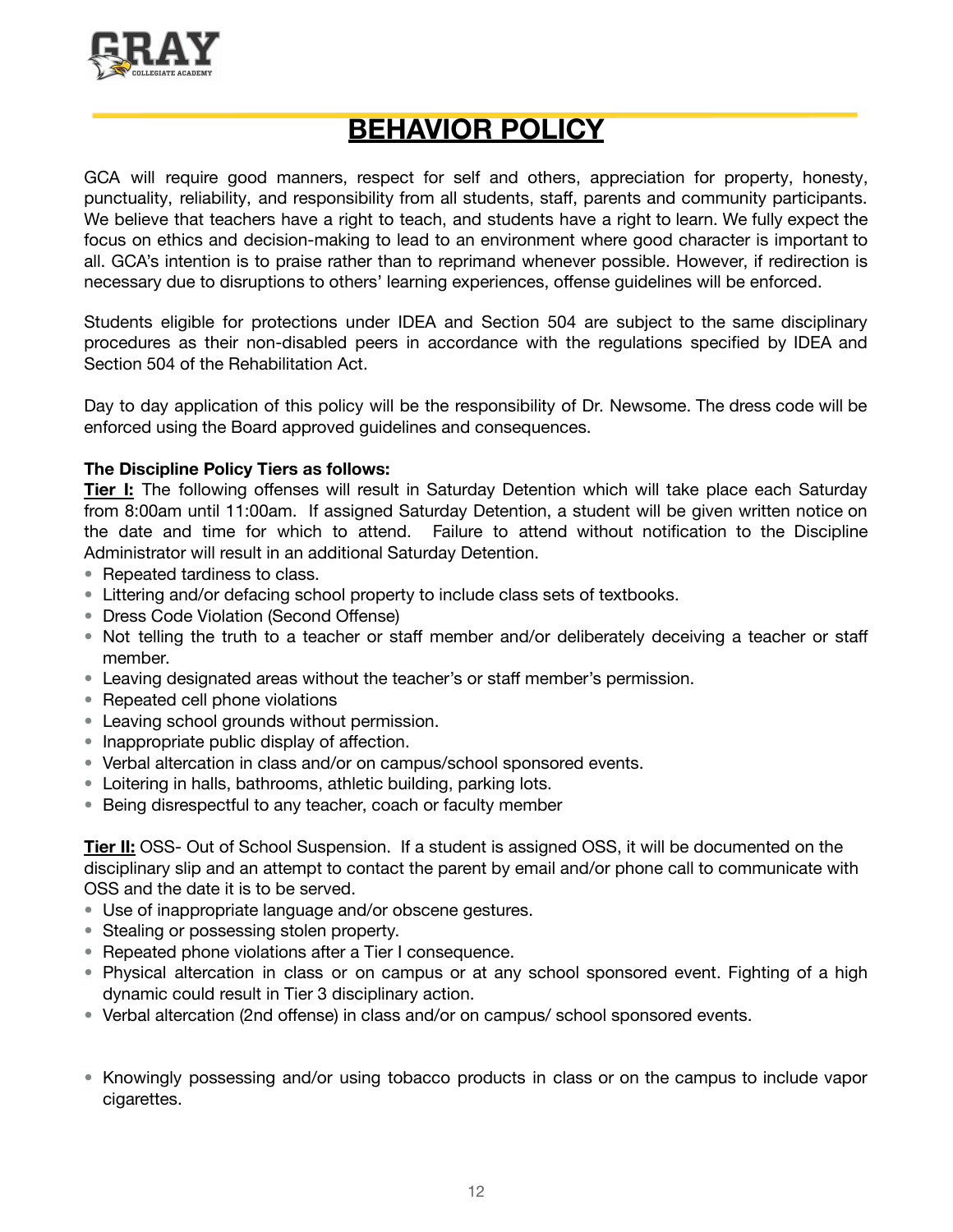

### **BEHAVIOR POLICY**

GCA will require good manners, respect for self and others, appreciation for property, honesty, punctuality, reliability, and responsibility from all students, staff, parents and community participants. We believe that teachers have a right to teach, and students have a right to learn. We fully expect the focus on ethics and decision-making to lead to an environment where good character is important to all. GCA's intention is to praise rather than to reprimand whenever possible. However, if redirection is necessary due to disruptions to others' learning experiences, offense guidelines will be enforced.

Students eligible for protections under IDEA and Section 504 are subject to the same disciplinary procedures as their non-disabled peers in accordance with the regulations specified by IDEA and Section 504 of the Rehabilitation Act.

Day to day application of this policy will be the responsibility of Dr. Newsome. The dress code will be enforced using the Board approved guidelines and consequences.

### **The Discipline Policy Tiers as follows:**

**Tier I:** The following offenses will result in Saturday Detention which will take place each Saturday from 8:00am until 11:00am. If assigned Saturday Detention, a student will be given written notice on the date and time for which to attend. Failure to attend without notification to the Discipline Administrator will result in an additional Saturday Detention.

- Repeated tardiness to class.
- Littering and/or defacing school property to include class sets of textbooks.
- Dress Code Violation (Second Offense)
- Not telling the truth to a teacher or staff member and/or deliberately deceiving a teacher or staff member.
- Leaving designated areas without the teacher's or staff member's permission.
- Repeated cell phone violations
- Leaving school grounds without permission.
- Inappropriate public display of affection.
- Verbal altercation in class and/or on campus/school sponsored events.
- Loitering in halls, bathrooms, athletic building, parking lots.
- Being disrespectful to any teacher, coach or faculty member

**Tier II:** OSS- Out of School Suspension. If a student is assigned OSS, it will be documented on the disciplinary slip and an attempt to contact the parent by email and/or phone call to communicate with OSS and the date it is to be served.

- Use of inappropriate language and/or obscene gestures.
- Stealing or possessing stolen property.
- Repeated phone violations after a Tier I consequence.
- Physical altercation in class or on campus or at any school sponsored event. Fighting of a high dynamic could result in Tier 3 disciplinary action.
- Verbal altercation (2nd offense) in class and/or on campus/ school sponsored events.
- Knowingly possessing and/or using tobacco products in class or on the campus to include vapor cigarettes.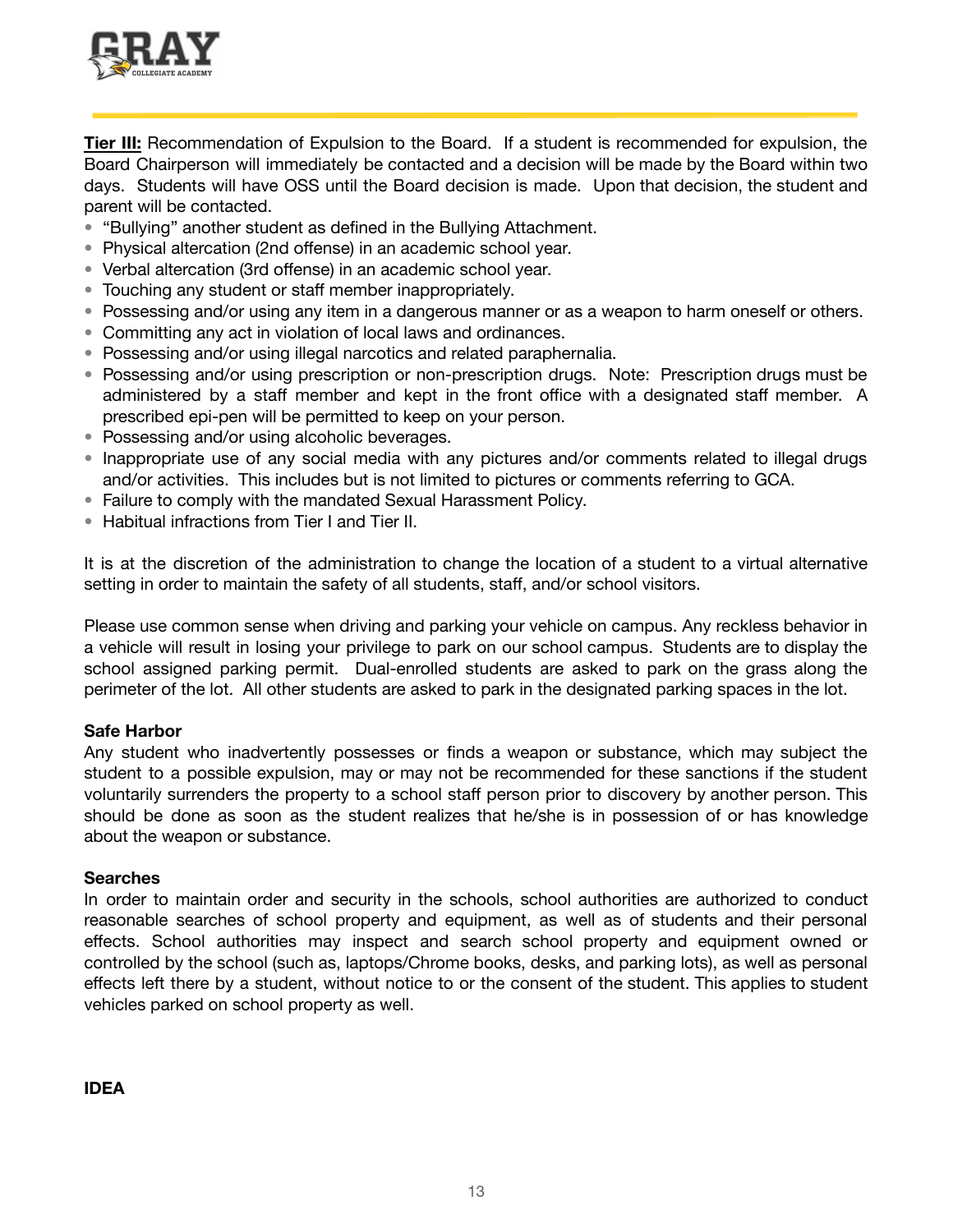

**Tier III:** Recommendation of Expulsion to the Board. If a student is recommended for expulsion, the Board Chairperson will immediately be contacted and a decision will be made by the Board within two days. Students will have OSS until the Board decision is made. Upon that decision, the student and parent will be contacted.

- "Bullying" another student as defined in the Bullying Attachment.
- Physical altercation (2nd offense) in an academic school year.
- Verbal altercation (3rd offense) in an academic school year.
- Touching any student or staff member inappropriately.
- Possessing and/or using any item in a dangerous manner or as a weapon to harm oneself or others.
- Committing any act in violation of local laws and ordinances.
- Possessing and/or using illegal narcotics and related paraphernalia.
- Possessing and/or using prescription or non-prescription drugs. Note: Prescription drugs must be administered by a staff member and kept in the front office with a designated staff member. A prescribed epi-pen will be permitted to keep on your person.
- Possessing and/or using alcoholic beverages.
- Inappropriate use of any social media with any pictures and/or comments related to illegal drugs and/or activities. This includes but is not limited to pictures or comments referring to GCA.
- Failure to comply with the mandated Sexual Harassment Policy.
- Habitual infractions from Tier I and Tier II.

It is at the discretion of the administration to change the location of a student to a virtual alternative setting in order to maintain the safety of all students, staff, and/or school visitors.

Please use common sense when driving and parking your vehicle on campus. Any reckless behavior in a vehicle will result in losing your privilege to park on our school campus. Students are to display the school assigned parking permit. Dual-enrolled students are asked to park on the grass along the perimeter of the lot. All other students are asked to park in the designated parking spaces in the lot.

### **Safe Harbor**

Any student who inadvertently possesses or finds a weapon or substance, which may subject the student to a possible expulsion, may or may not be recommended for these sanctions if the student voluntarily surrenders the property to a school staff person prior to discovery by another person. This should be done as soon as the student realizes that he/she is in possession of or has knowledge about the weapon or substance.

### **Searches**

In order to maintain order and security in the schools, school authorities are authorized to conduct reasonable searches of school property and equipment, as well as of students and their personal effects. School authorities may inspect and search school property and equipment owned or controlled by the school (such as, laptops/Chrome books, desks, and parking lots), as well as personal effects left there by a student, without notice to or the consent of the student. This applies to student vehicles parked on school property as well.

**IDEA**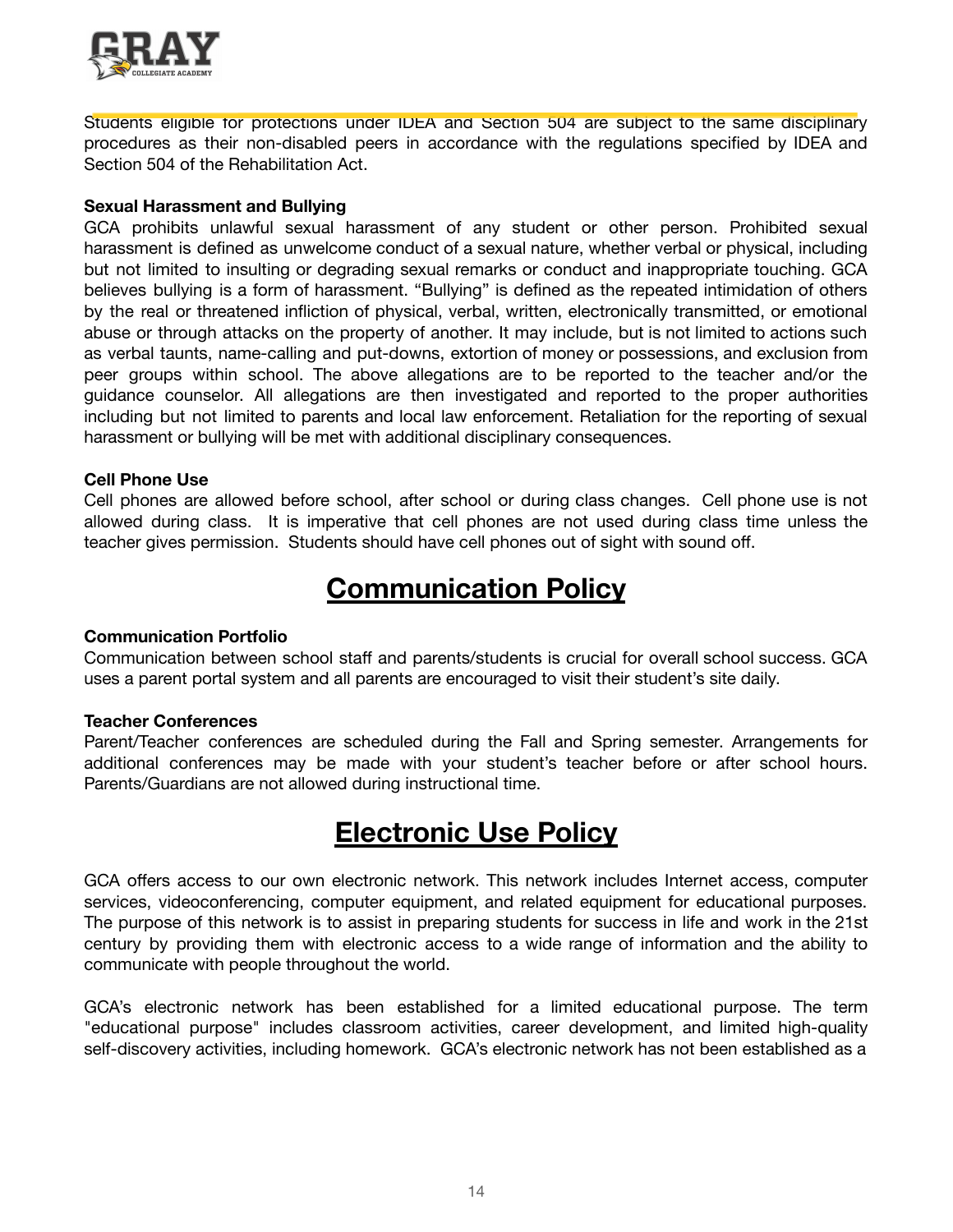

Students eligible for protections under IDEA and Section 504 are subject to the same disciplinary procedures as their non-disabled peers in accordance with the regulations specified by IDEA and Section 504 of the Rehabilitation Act.

#### **Sexual Harassment and Bullying**

GCA prohibits unlawful sexual harassment of any student or other person. Prohibited sexual harassment is defined as unwelcome conduct of a sexual nature, whether verbal or physical, including but not limited to insulting or degrading sexual remarks or conduct and inappropriate touching. GCA believes bullying is a form of harassment. "Bullying" is defined as the repeated intimidation of others by the real or threatened infliction of physical, verbal, written, electronically transmitted, or emotional abuse or through attacks on the property of another. It may include, but is not limited to actions such as verbal taunts, name-calling and put-downs, extortion of money or possessions, and exclusion from peer groups within school. The above allegations are to be reported to the teacher and/or the guidance counselor. All allegations are then investigated and reported to the proper authorities including but not limited to parents and local law enforcement. Retaliation for the reporting of sexual harassment or bullying will be met with additional disciplinary consequences.

### **Cell Phone Use**

Cell phones are allowed before school, after school or during class changes. Cell phone use is not allowed during class. It is imperative that cell phones are not used during class time unless the teacher gives permission. Students should have cell phones out of sight with sound off.

### **Communication Policy**

### **Communication Portfolio**

Communication between school staff and parents/students is crucial for overall school success. GCA uses a parent portal system and all parents are encouraged to visit their student's site daily.

#### **Teacher Conferences**

Parent/Teacher conferences are scheduled during the Fall and Spring semester. Arrangements for additional conferences may be made with your student's teacher before or after school hours. Parents/Guardians are not allowed during instructional time.

### **Electronic Use Policy**

GCA offers access to our own electronic network. This network includes Internet access, computer services, videoconferencing, computer equipment, and related equipment for educational purposes. The purpose of this network is to assist in preparing students for success in life and work in the 21st century by providing them with electronic access to a wide range of information and the ability to communicate with people throughout the world.

GCA's electronic network has been established for a limited educational purpose. The term "educational purpose" includes classroom activities, career development, and limited high-quality self-discovery activities, including homework. GCA's electronic network has not been established as a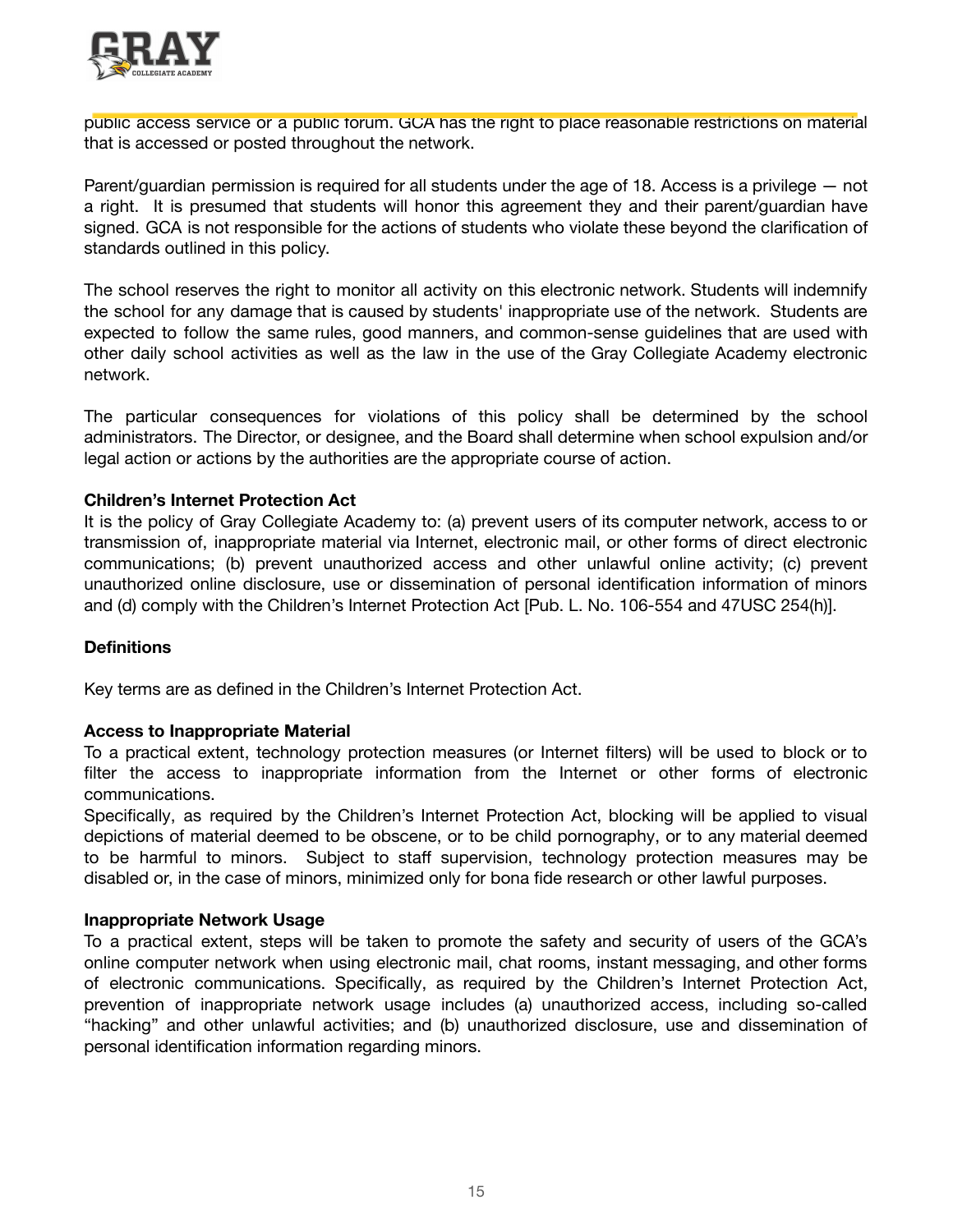

public access service or a public forum. GCA has the right to place reasonable restrictions on material that is accessed or posted throughout the network.

Parent/guardian permission is required for all students under the age of 18. Access is a privilege — not a right. It is presumed that students will honor this agreement they and their parent/guardian have signed. GCA is not responsible for the actions of students who violate these beyond the clarification of standards outlined in this policy.

The school reserves the right to monitor all activity on this electronic network. Students will indemnify the school for any damage that is caused by students' inappropriate use of the network. Students are expected to follow the same rules, good manners, and common-sense guidelines that are used with other daily school activities as well as the law in the use of the Gray Collegiate Academy electronic network.

The particular consequences for violations of this policy shall be determined by the school administrators. The Director, or designee, and the Board shall determine when school expulsion and/or legal action or actions by the authorities are the appropriate course of action.

### **Children's Internet Protection Act**

It is the policy of Gray Collegiate Academy to: (a) prevent users of its computer network, access to or transmission of, inappropriate material via Internet, electronic mail, or other forms of direct electronic communications; (b) prevent unauthorized access and other unlawful online activity; (c) prevent unauthorized online disclosure, use or dissemination of personal identification information of minors and (d) comply with the Children's Internet Protection Act [Pub. L. No. 106-554 and 47USC 254(h)].

### **Definitions**

Key terms are as defined in the Children's Internet Protection Act.

### **Access to Inappropriate Material**

To a practical extent, technology protection measures (or Internet filters) will be used to block or to filter the access to inappropriate information from the Internet or other forms of electronic communications.

Specifically, as required by the Children's Internet Protection Act, blocking will be applied to visual depictions of material deemed to be obscene, or to be child pornography, or to any material deemed to be harmful to minors. Subject to staff supervision, technology protection measures may be disabled or, in the case of minors, minimized only for bona fide research or other lawful purposes.

### **Inappropriate Network Usage**

To a practical extent, steps will be taken to promote the safety and security of users of the GCA's online computer network when using electronic mail, chat rooms, instant messaging, and other forms of electronic communications. Specifically, as required by the Children's Internet Protection Act, prevention of inappropriate network usage includes (a) unauthorized access, including so-called "hacking" and other unlawful activities; and (b) unauthorized disclosure, use and dissemination of personal identification information regarding minors.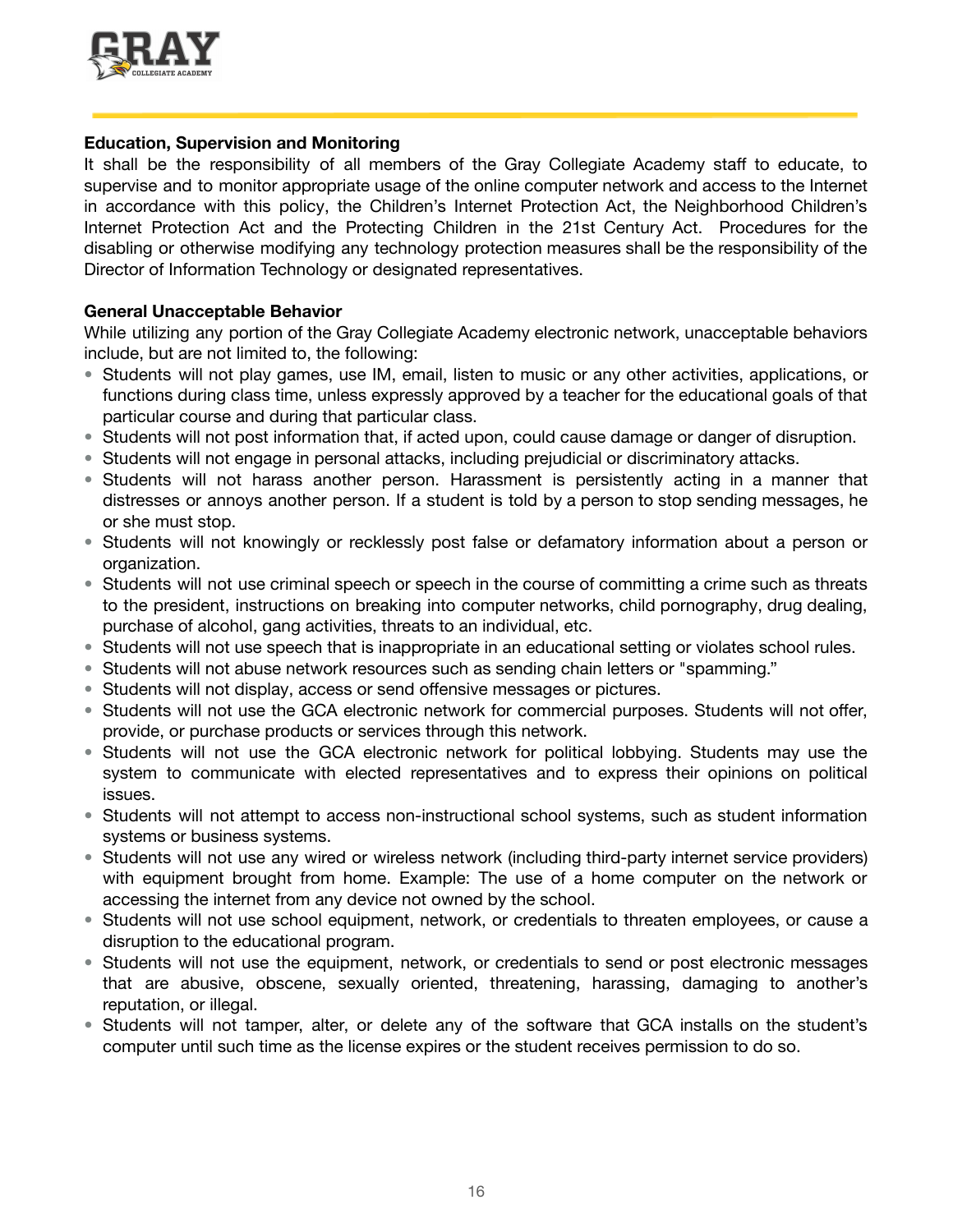

### **Education, Supervision and Monitoring**

It shall be the responsibility of all members of the Gray Collegiate Academy staff to educate, to supervise and to monitor appropriate usage of the online computer network and access to the Internet in accordance with this policy, the Children's Internet Protection Act, the Neighborhood Children's Internet Protection Act and the Protecting Children in the 21st Century Act. Procedures for the disabling or otherwise modifying any technology protection measures shall be the responsibility of the Director of Information Technology or designated representatives.

### **General Unacceptable Behavior**

While utilizing any portion of the Gray Collegiate Academy electronic network, unacceptable behaviors include, but are not limited to, the following:

- Students will not play games, use IM, email, listen to music or any other activities, applications, or functions during class time, unless expressly approved by a teacher for the educational goals of that particular course and during that particular class.
- Students will not post information that, if acted upon, could cause damage or danger of disruption.
- Students will not engage in personal attacks, including prejudicial or discriminatory attacks.
- Students will not harass another person. Harassment is persistently acting in a manner that distresses or annoys another person. If a student is told by a person to stop sending messages, he or she must stop.
- Students will not knowingly or recklessly post false or defamatory information about a person or organization.
- Students will not use criminal speech or speech in the course of committing a crime such as threats to the president, instructions on breaking into computer networks, child pornography, drug dealing, purchase of alcohol, gang activities, threats to an individual, etc.
- Students will not use speech that is inappropriate in an educational setting or violates school rules.
- Students will not abuse network resources such as sending chain letters or "spamming."
- Students will not display, access or send offensive messages or pictures.
- Students will not use the GCA electronic network for commercial purposes. Students will not offer, provide, or purchase products or services through this network.
- Students will not use the GCA electronic network for political lobbying. Students may use the system to communicate with elected representatives and to express their opinions on political issues.
- Students will not attempt to access non-instructional school systems, such as student information systems or business systems.
- Students will not use any wired or wireless network (including third-party internet service providers) with equipment brought from home. Example: The use of a home computer on the network or accessing the internet from any device not owned by the school.
- Students will not use school equipment, network, or credentials to threaten employees, or cause a disruption to the educational program.
- Students will not use the equipment, network, or credentials to send or post electronic messages that are abusive, obscene, sexually oriented, threatening, harassing, damaging to another's reputation, or illegal.
- Students will not tamper, alter, or delete any of the software that GCA installs on the student's computer until such time as the license expires or the student receives permission to do so.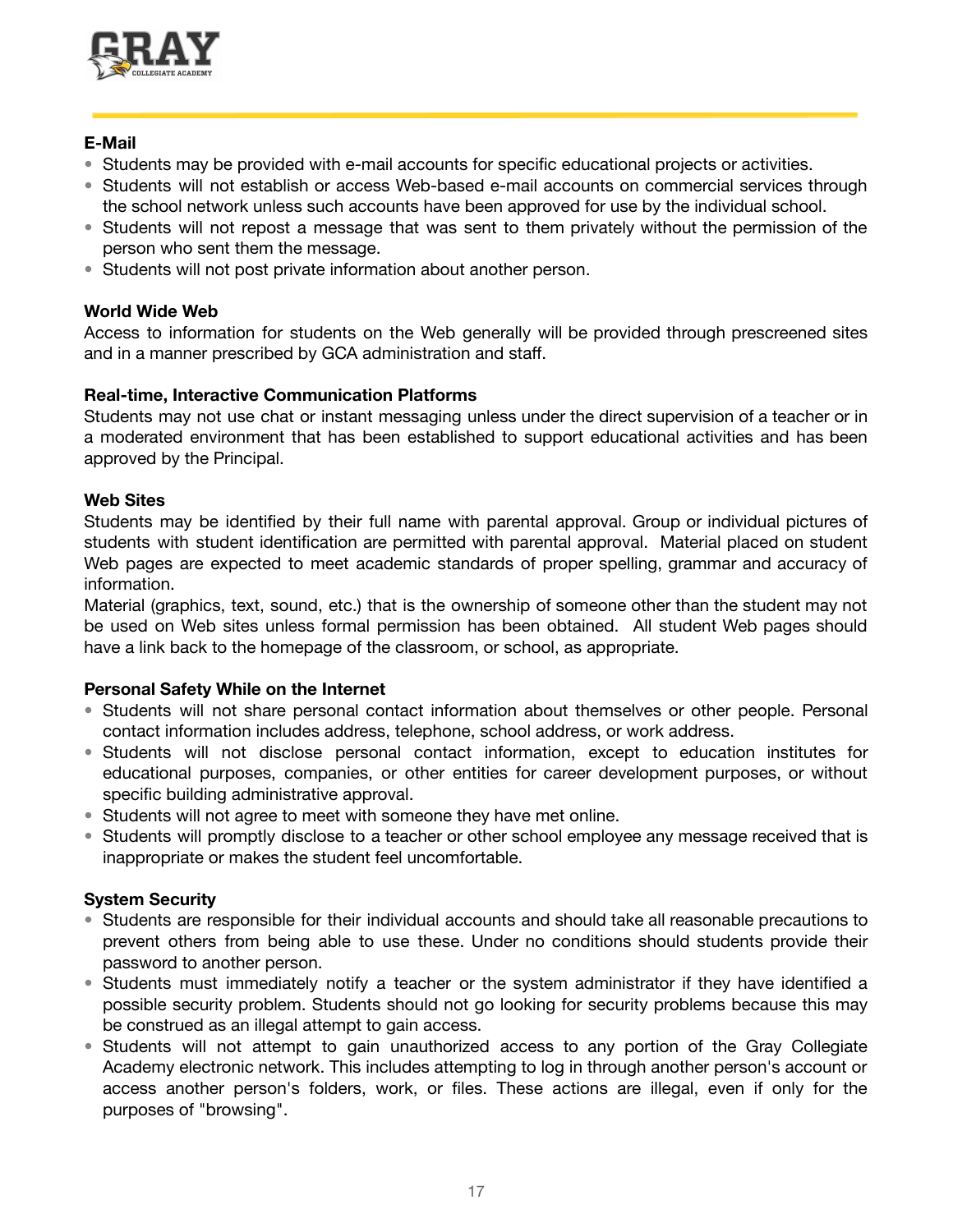

### **E-Mail**

- Students may be provided with e-mail accounts for specific educational projects or activities.
- Students will not establish or access Web-based e-mail accounts on commercial services through the school network unless such accounts have been approved for use by the individual school.
- Students will not repost a message that was sent to them privately without the permission of the person who sent them the message.
- Students will not post private information about another person.

### **World Wide Web**

Access to information for students on the Web generally will be provided through prescreened sites and in a manner prescribed by GCA administration and staff.

### **Real-time, Interactive Communication Platforms**

Students may not use chat or instant messaging unless under the direct supervision of a teacher or in a moderated environment that has been established to support educational activities and has been approved by the Principal.

### **Web Sites**

Students may be identified by their full name with parental approval. Group or individual pictures of students with student identification are permitted with parental approval. Material placed on student Web pages are expected to meet academic standards of proper spelling, grammar and accuracy of information.

Material (graphics, text, sound, etc.) that is the ownership of someone other than the student may not be used on Web sites unless formal permission has been obtained. All student Web pages should have a link back to the homepage of the classroom, or school, as appropriate.

### **Personal Safety While on the Internet**

- Students will not share personal contact information about themselves or other people. Personal contact information includes address, telephone, school address, or work address.
- Students will not disclose personal contact information, except to education institutes for educational purposes, companies, or other entities for career development purposes, or without specific building administrative approval.
- Students will not agree to meet with someone they have met online.
- Students will promptly disclose to a teacher or other school employee any message received that is inappropriate or makes the student feel uncomfortable.

### **System Security**

- Students are responsible for their individual accounts and should take all reasonable precautions to prevent others from being able to use these. Under no conditions should students provide their password to another person.
- Students must immediately notify a teacher or the system administrator if they have identified a possible security problem. Students should not go looking for security problems because this may be construed as an illegal attempt to gain access.
- Students will not attempt to gain unauthorized access to any portion of the Gray Collegiate Academy electronic network. This includes attempting to log in through another person's account or access another person's folders, work, or files. These actions are illegal, even if only for the purposes of "browsing".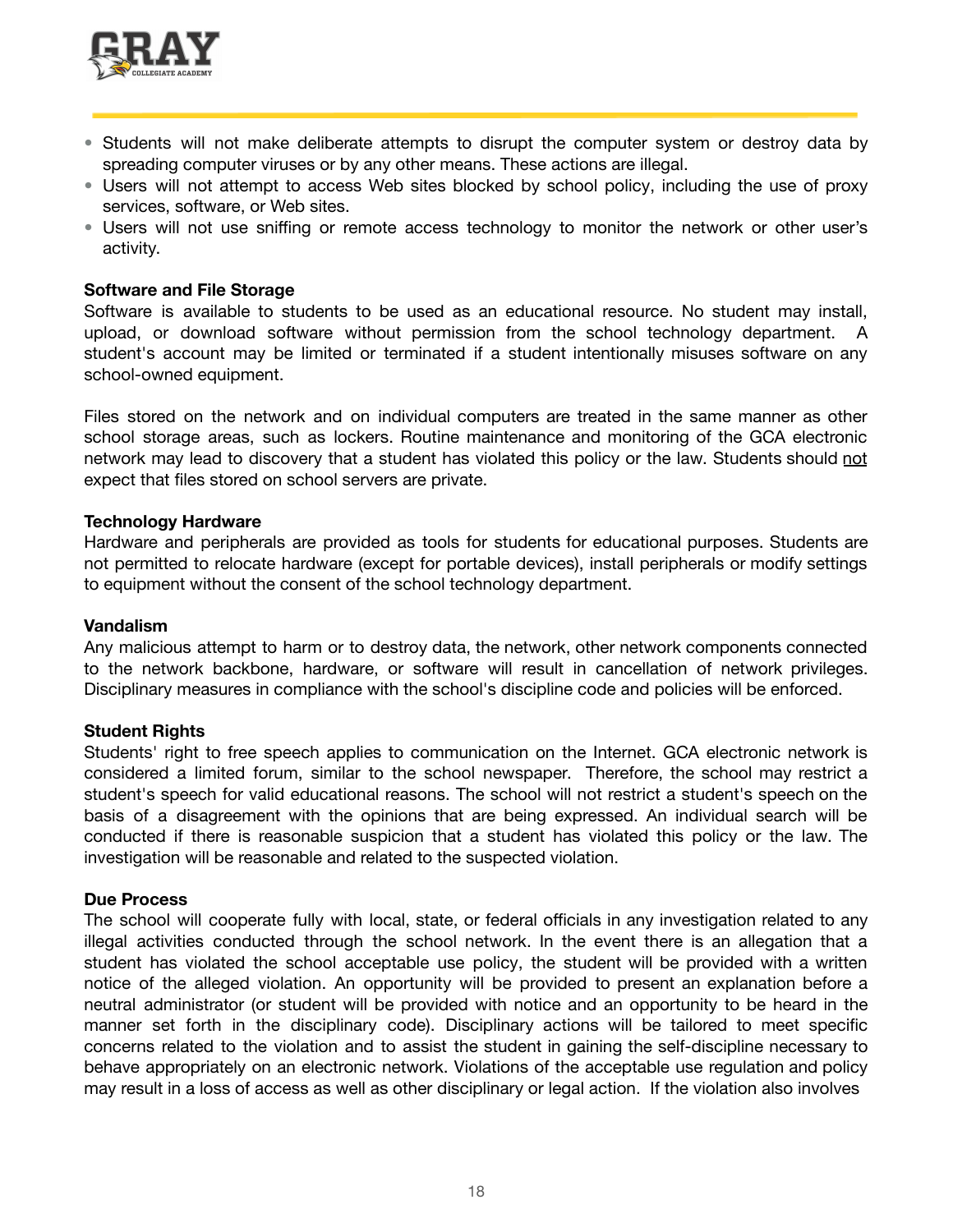![](_page_17_Picture_0.jpeg)

- Students will not make deliberate attempts to disrupt the computer system or destroy data by spreading computer viruses or by any other means. These actions are illegal.
- Users will not attempt to access Web sites blocked by school policy, including the use of proxy services, software, or Web sites.
- Users will not use sniffing or remote access technology to monitor the network or other user's activity.

### **Software and File Storage**

Software is available to students to be used as an educational resource. No student may install, upload, or download software without permission from the school technology department. student's account may be limited or terminated if a student intentionally misuses software on any school-owned equipment.

Files stored on the network and on individual computers are treated in the same manner as other school storage areas, such as lockers. Routine maintenance and monitoring of the GCA electronic network may lead to discovery that a student has violated this policy or the law. Students should not expect that files stored on school servers are private.

### **Technology Hardware**

Hardware and peripherals are provided as tools for students for educational purposes. Students are not permitted to relocate hardware (except for portable devices), install peripherals or modify settings to equipment without the consent of the school technology department.

### **Vandalism**

Any malicious attempt to harm or to destroy data, the network, other network components connected to the network backbone, hardware, or software will result in cancellation of network privileges. Disciplinary measures in compliance with the school's discipline code and policies will be enforced.

### **Student Rights**

Students' right to free speech applies to communication on the Internet. GCA electronic network is considered a limited forum, similar to the school newspaper. Therefore, the school may restrict a student's speech for valid educational reasons. The school will not restrict a student's speech on the basis of a disagreement with the opinions that are being expressed. An individual search will be conducted if there is reasonable suspicion that a student has violated this policy or the law. The investigation will be reasonable and related to the suspected violation.

### **Due Process**

The school will cooperate fully with local, state, or federal officials in any investigation related to any illegal activities conducted through the school network. In the event there is an allegation that a student has violated the school acceptable use policy, the student will be provided with a written notice of the alleged violation. An opportunity will be provided to present an explanation before a neutral administrator (or student will be provided with notice and an opportunity to be heard in the manner set forth in the disciplinary code). Disciplinary actions will be tailored to meet specific concerns related to the violation and to assist the student in gaining the self-discipline necessary to behave appropriately on an electronic network. Violations of the acceptable use regulation and policy may result in a loss of access as well as other disciplinary or legal action. If the violation also involves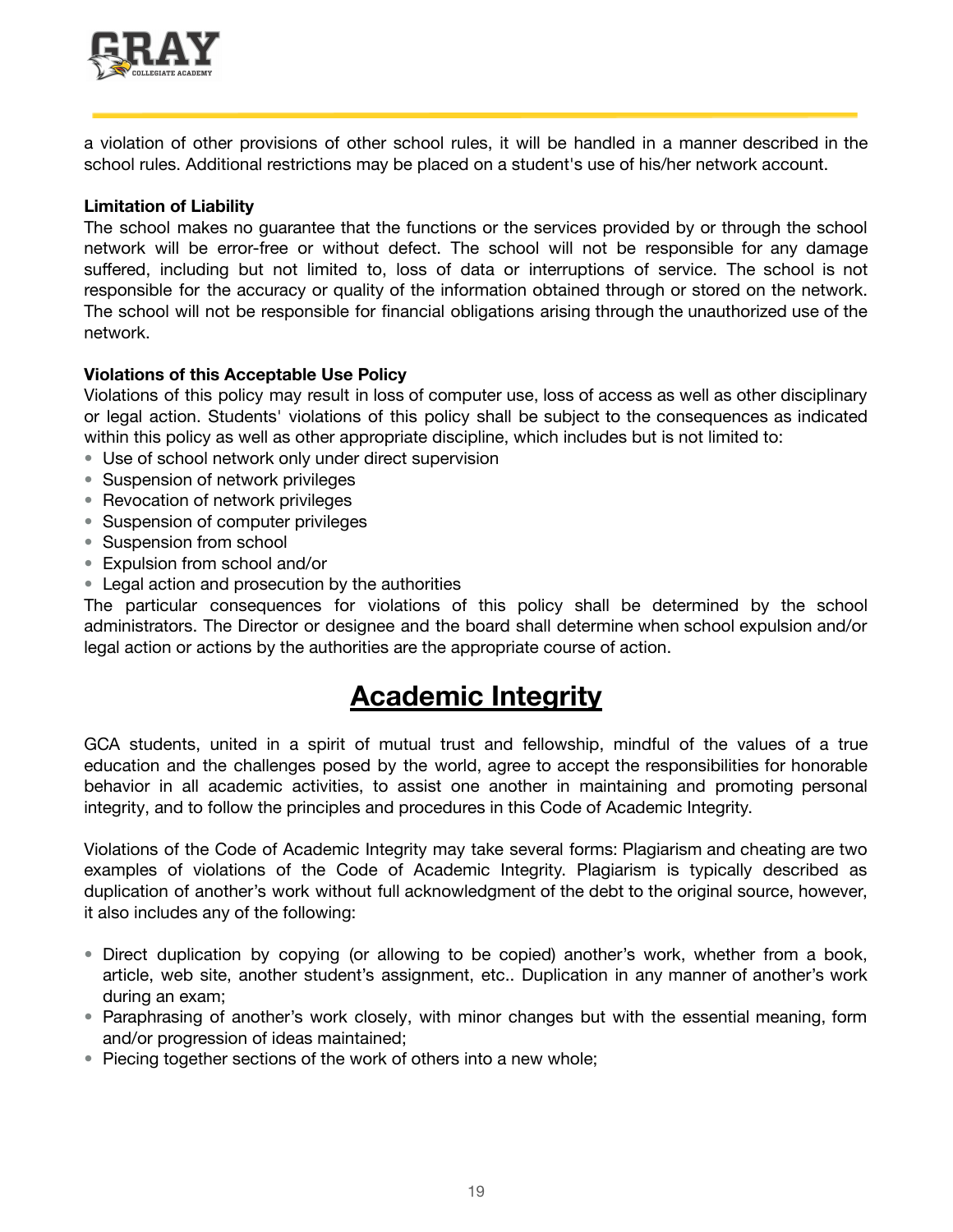![](_page_18_Picture_0.jpeg)

a violation of other provisions of other school rules, it will be handled in a manner described in the school rules. Additional restrictions may be placed on a student's use of his/her network account.

### **Limitation of Liability**

The school makes no guarantee that the functions or the services provided by or through the school network will be error-free or without defect. The school will not be responsible for any damage suffered, including but not limited to, loss of data or interruptions of service. The school is not responsible for the accuracy or quality of the information obtained through or stored on the network. The school will not be responsible for financial obligations arising through the unauthorized use of the network.

### **Violations of this Acceptable Use Policy**

Violations of this policy may result in loss of computer use, loss of access as well as other disciplinary or legal action. Students' violations of this policy shall be subject to the consequences as indicated within this policy as well as other appropriate discipline, which includes but is not limited to:

- Use of school network only under direct supervision
- Suspension of network privileges
- Revocation of network privileges
- Suspension of computer privileges
- Suspension from school
- Expulsion from school and/or
- Legal action and prosecution by the authorities

The particular consequences for violations of this policy shall be determined by the school administrators. The Director or designee and the board shall determine when school expulsion and/or legal action or actions by the authorities are the appropriate course of action.

### **Academic Integrity**

GCA students, united in a spirit of mutual trust and fellowship, mindful of the values of a true education and the challenges posed by the world, agree to accept the responsibilities for honorable behavior in all academic activities, to assist one another in maintaining and promoting personal integrity, and to follow the principles and procedures in this Code of Academic Integrity.

Violations of the Code of Academic Integrity may take several forms: Plagiarism and cheating are two examples of violations of the Code of Academic Integrity. Plagiarism is typically described as duplication of another's work without full acknowledgment of the debt to the original source, however, it also includes any of the following:

- Direct duplication by copying (or allowing to be copied) another's work, whether from a book, article, web site, another student's assignment, etc.. Duplication in any manner of another's work during an exam;
- Paraphrasing of another's work closely, with minor changes but with the essential meaning, form and/or progression of ideas maintained;
- Piecing together sections of the work of others into a new whole;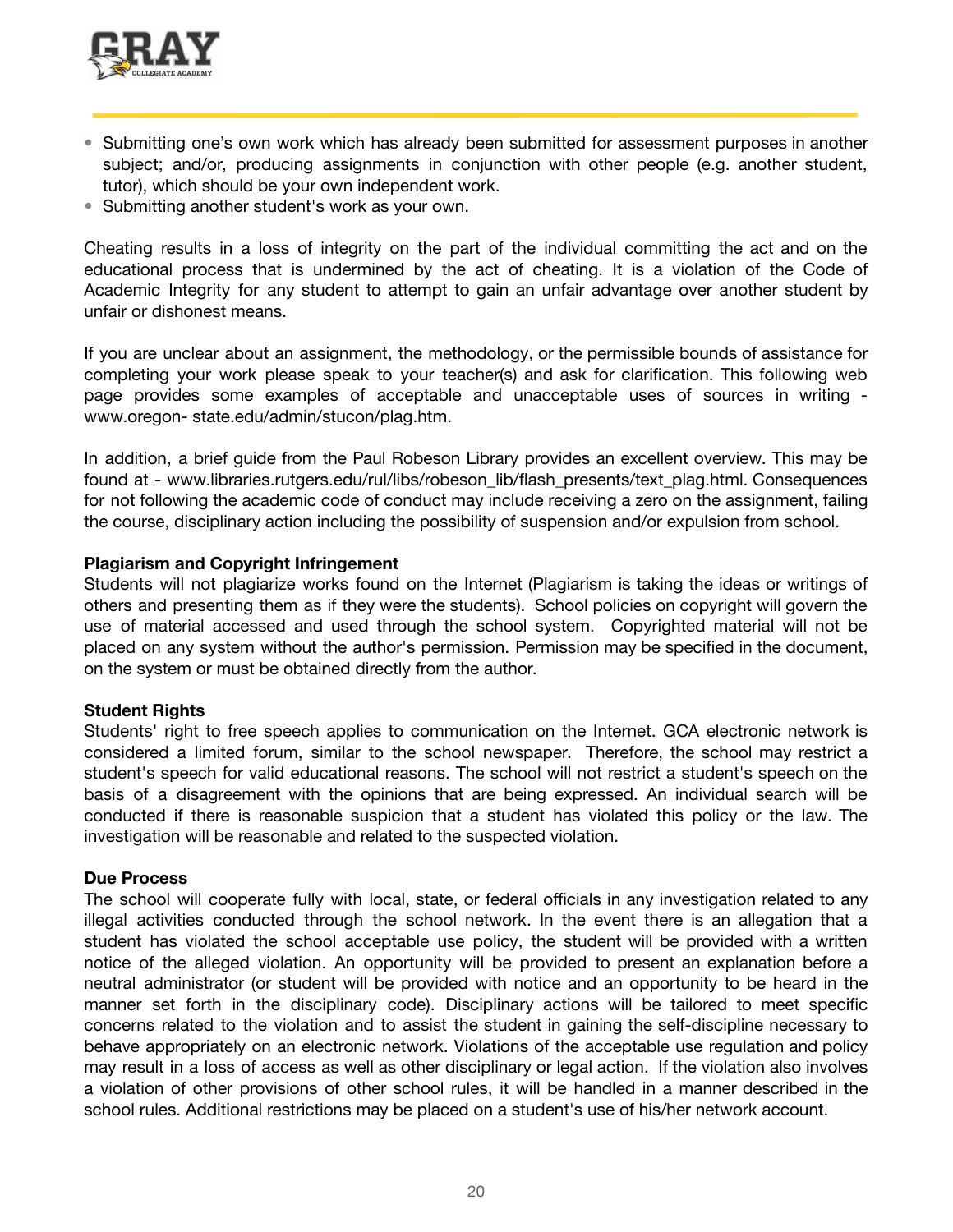![](_page_19_Picture_0.jpeg)

- Submitting one's own work which has already been submitted for assessment purposes in another subject; and/or, producing assignments in conjunction with other people (e.g. another student, tutor), which should be your own independent work.
- Submitting another student's work as your own.

Cheating results in a loss of integrity on the part of the individual committing the act and on the educational process that is undermined by the act of cheating. It is a violation of the Code of Academic Integrity for any student to attempt to gain an unfair advantage over another student by unfair or dishonest means.

If you are unclear about an assignment, the methodology, or the permissible bounds of assistance for completing your work please speak to your teacher(s) and ask for clarification. This following web page provides some examples of acceptable and unacceptable uses of sources in writing www.oregon- state.edu/admin/stucon/plag.htm.

In addition, a brief guide from the Paul Robeson Library provides an excellent overview. This may be found at - www.libraries.rutgers.edu/rul/libs/robeson\_lib/flash\_presents/text\_plag.html. Consequences for not following the academic code of conduct may include receiving a zero on the assignment, failing the course, disciplinary action including the possibility of suspension and/or expulsion from school.

### **Plagiarism and Copyright Infringement**

Students will not plagiarize works found on the Internet (Plagiarism is taking the ideas or writings of others and presenting them as if they were the students). School policies on copyright will govern the use of material accessed and used through the school system. Copyrighted material will not be placed on any system without the author's permission. Permission may be specified in the document, on the system or must be obtained directly from the author.

### **Student Rights**

Students' right to free speech applies to communication on the Internet. GCA electronic network is considered a limited forum, similar to the school newspaper. Therefore, the school may restrict a student's speech for valid educational reasons. The school will not restrict a student's speech on the basis of a disagreement with the opinions that are being expressed. An individual search will be conducted if there is reasonable suspicion that a student has violated this policy or the law. The investigation will be reasonable and related to the suspected violation.

### **Due Process**

The school will cooperate fully with local, state, or federal officials in any investigation related to any illegal activities conducted through the school network. In the event there is an allegation that a student has violated the school acceptable use policy, the student will be provided with a written notice of the alleged violation. An opportunity will be provided to present an explanation before a neutral administrator (or student will be provided with notice and an opportunity to be heard in the manner set forth in the disciplinary code). Disciplinary actions will be tailored to meet specific concerns related to the violation and to assist the student in gaining the self-discipline necessary to behave appropriately on an electronic network. Violations of the acceptable use regulation and policy may result in a loss of access as well as other disciplinary or legal action. If the violation also involves a violation of other provisions of other school rules, it will be handled in a manner described in the school rules. Additional restrictions may be placed on a student's use of his/her network account.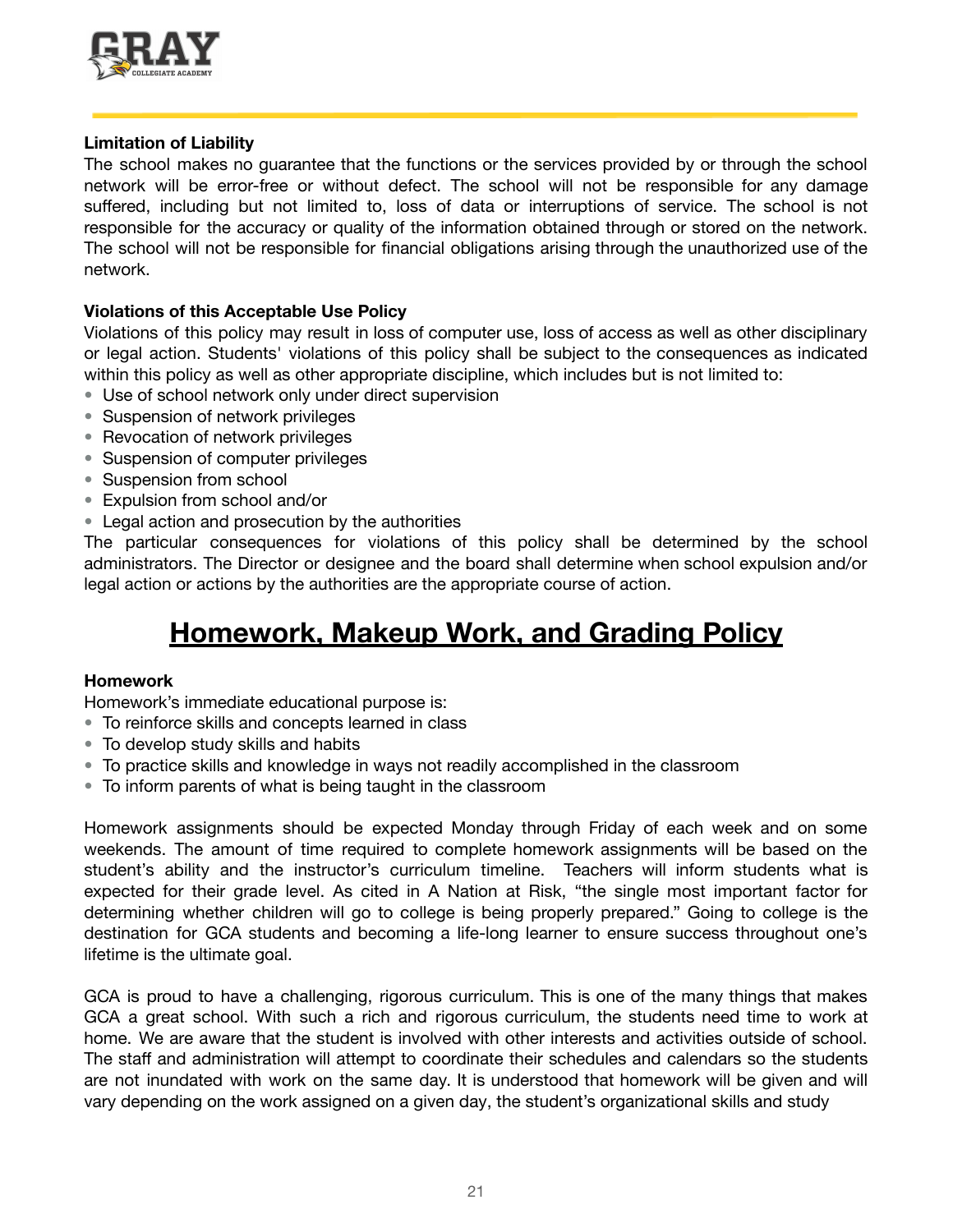![](_page_20_Picture_0.jpeg)

### **Limitation of Liability**

The school makes no guarantee that the functions or the services provided by or through the school network will be error-free or without defect. The school will not be responsible for any damage suffered, including but not limited to, loss of data or interruptions of service. The school is not responsible for the accuracy or quality of the information obtained through or stored on the network. The school will not be responsible for financial obligations arising through the unauthorized use of the network.

### **Violations of this Acceptable Use Policy**

Violations of this policy may result in loss of computer use, loss of access as well as other disciplinary or legal action. Students' violations of this policy shall be subject to the consequences as indicated within this policy as well as other appropriate discipline, which includes but is not limited to:

- Use of school network only under direct supervision
- Suspension of network privileges
- Revocation of network privileges
- Suspension of computer privileges
- Suspension from school
- Expulsion from school and/or
- Legal action and prosecution by the authorities

The particular consequences for violations of this policy shall be determined by the school administrators. The Director or designee and the board shall determine when school expulsion and/or legal action or actions by the authorities are the appropriate course of action.

### **Homework, Makeup Work, and Grading Policy**

### **Homework**

Homework's immediate educational purpose is:

- To reinforce skills and concepts learned in class
- To develop study skills and habits
- To practice skills and knowledge in ways not readily accomplished in the classroom
- To inform parents of what is being taught in the classroom

Homework assignments should be expected Monday through Friday of each week and on some weekends. The amount of time required to complete homework assignments will be based on the student's ability and the instructor's curriculum timeline. Teachers will inform students what is expected for their grade level. As cited in A Nation at Risk, "the single most important factor for determining whether children will go to college is being properly prepared." Going to college is the destination for GCA students and becoming a life-long learner to ensure success throughout one's lifetime is the ultimate goal.

GCA is proud to have a challenging, rigorous curriculum. This is one of the many things that makes GCA a great school. With such a rich and rigorous curriculum, the students need time to work at home. We are aware that the student is involved with other interests and activities outside of school. The staff and administration will attempt to coordinate their schedules and calendars so the students are not inundated with work on the same day. It is understood that homework will be given and will vary depending on the work assigned on a given day, the student's organizational skills and study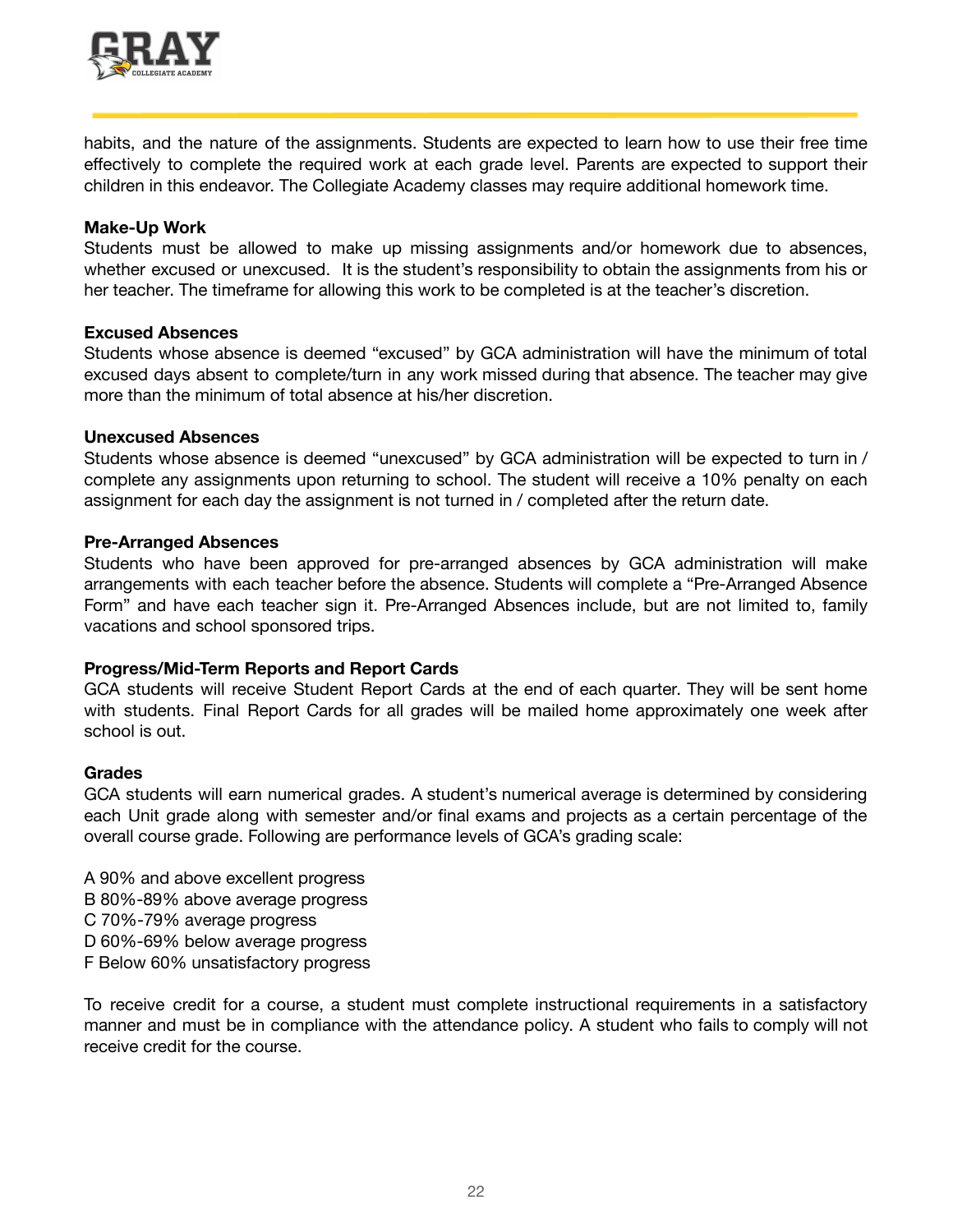![](_page_21_Picture_0.jpeg)

habits, and the nature of the assignments. Students are expected to learn how to use their free time effectively to complete the required work at each grade level. Parents are expected to support their children in this endeavor. The Collegiate Academy classes may require additional homework time.

### **Make-Up Work**

Students must be allowed to make up missing assignments and/or homework due to absences, whether excused or unexcused. It is the student's responsibility to obtain the assignments from his or her teacher. The timeframe for allowing this work to be completed is at the teacher's discretion.

### **Excused Absences**

Students whose absence is deemed "excused" by GCA administration will have the minimum of total excused days absent to complete/turn in any work missed during that absence. The teacher may give more than the minimum of total absence at his/her discretion.

### **Unexcused Absences**

Students whose absence is deemed "unexcused" by GCA administration will be expected to turn in / complete any assignments upon returning to school. The student will receive a 10% penalty on each assignment for each day the assignment is not turned in / completed after the return date.

### **Pre-Arranged Absences**

Students who have been approved for pre-arranged absences by GCA administration will make arrangements with each teacher before the absence. Students will complete a "Pre-Arranged Absence Form" and have each teacher sign it. Pre-Arranged Absences include, but are not limited to, family vacations and school sponsored trips.

### **Progress/Mid-Term Reports and Report Cards**

GCA students will receive Student Report Cards at the end of each quarter. They will be sent home with students. Final Report Cards for all grades will be mailed home approximately one week after school is out.

### **Grades**

GCA students will earn numerical grades. A student's numerical average is determined by considering each Unit grade along with semester and/or final exams and projects as a certain percentage of the overall course grade. Following are performance levels of GCA's grading scale:

A 90% and above excellent progress B 80%-89% above average progress C 70%-79% average progress D 60%-69% below average progress F Below 60% unsatisfactory progress

To receive credit for a course, a student must complete instructional requirements in a satisfactory manner and must be in compliance with the attendance policy. A student who fails to comply will not receive credit for the course.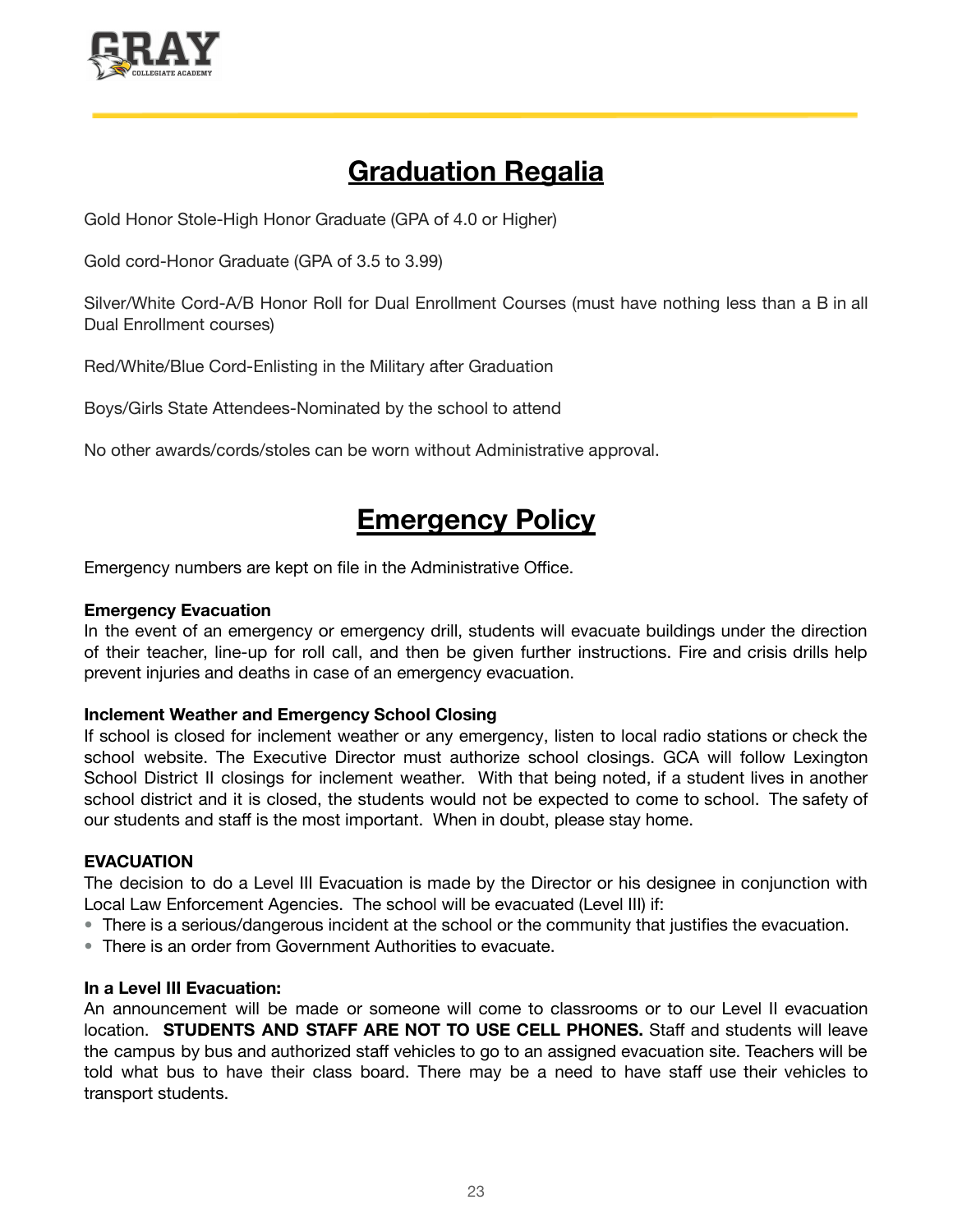![](_page_22_Picture_0.jpeg)

### **Graduation Regalia**

Gold Honor Stole-High Honor Graduate (GPA of 4.0 or Higher)

Gold cord-Honor Graduate (GPA of 3.5 to 3.99)

Silver/White Cord-A/B Honor Roll for Dual Enrollment Courses (must have nothing less than a B in all Dual Enrollment courses)

Red/White/Blue Cord-Enlisting in the Military after Graduation

Boys/Girls State Attendees-Nominated by the school to attend

No other awards/cords/stoles can be worn without Administrative approval.

### **Emergency Policy**

Emergency numbers are kept on file in the Administrative Office.

### **Emergency Evacuation**

In the event of an emergency or emergency drill, students will evacuate buildings under the direction of their teacher, line-up for roll call, and then be given further instructions. Fire and crisis drills help prevent injuries and deaths in case of an emergency evacuation.

### **Inclement Weather and Emergency School Closing**

If school is closed for inclement weather or any emergency, listen to local radio stations or check the school website. The Executive Director must authorize school closings. GCA will follow Lexington School District II closings for inclement weather. With that being noted, if a student lives in another school district and it is closed, the students would not be expected to come to school. The safety of our students and staff is the most important. When in doubt, please stay home.

### **EVACUATION**

The decision to do a Level III Evacuation is made by the Director or his designee in conjunction with Local Law Enforcement Agencies. The school will be evacuated (Level III) if:

- There is a serious/dangerous incident at the school or the community that justifies the evacuation.
- There is an order from Government Authorities to evacuate.

### **In a Level III Evacuation:**

An announcement will be made or someone will come to classrooms or to our Level II evacuation location. **STUDENTS AND STAFF ARE NOT TO USE CELL PHONES.** Staff and students will leave the campus by bus and authorized staff vehicles to go to an assigned evacuation site. Teachers will be told what bus to have their class board. There may be a need to have staff use their vehicles to transport students.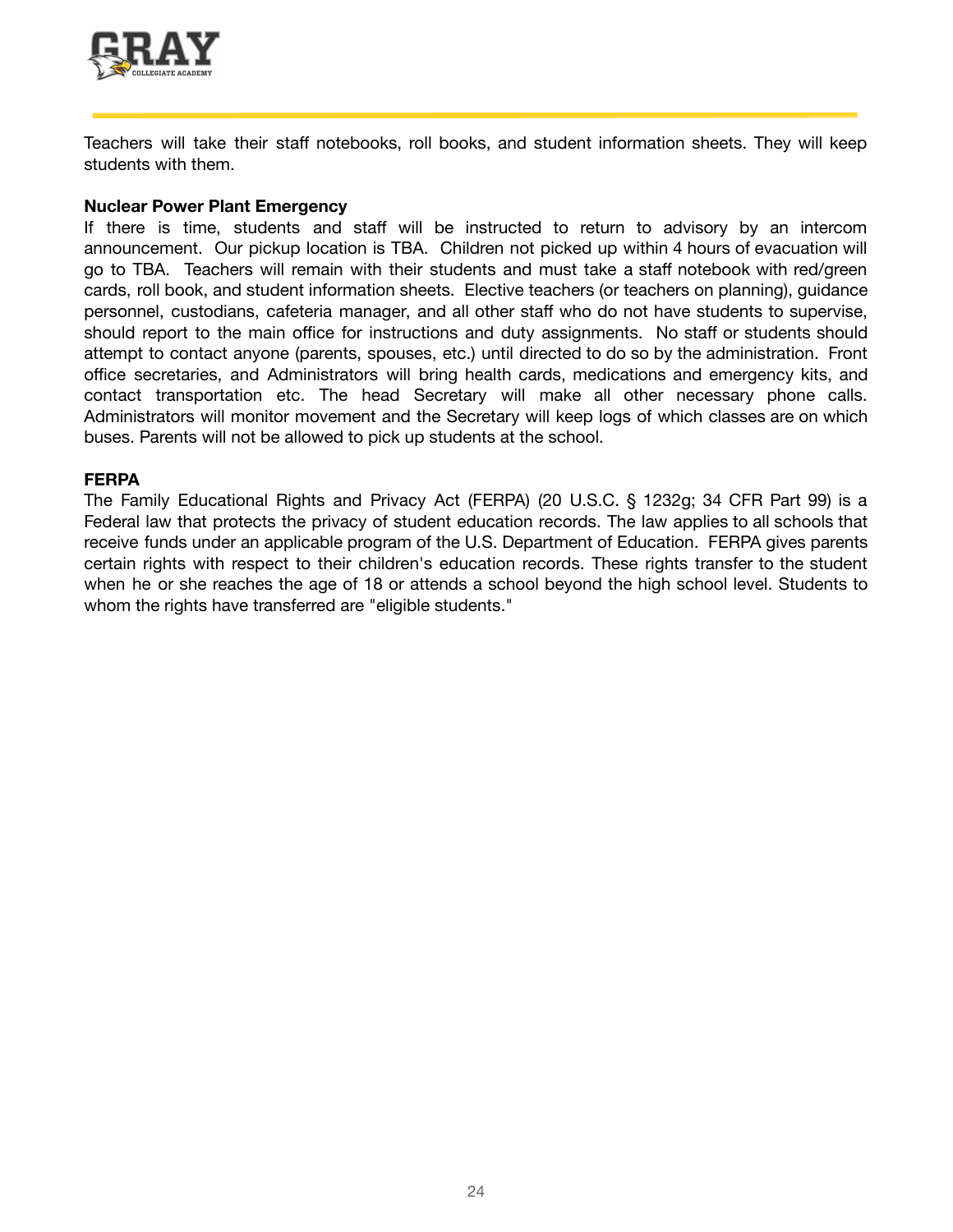![](_page_23_Picture_0.jpeg)

Teachers will take their staff notebooks, roll books, and student information sheets. They will keep students with them.

#### **Nuclear Power Plant Emergency**

If there is time, students and staff will be instructed to return to advisory by an intercom announcement. Our pickup location is TBA. Children not picked up within 4 hours of evacuation will go to TBA. Teachers will remain with their students and must take a staff notebook with red/green cards, roll book, and student information sheets. Elective teachers (or teachers on planning), guidance personnel, custodians, cafeteria manager, and all other staff who do not have students to supervise, should report to the main office for instructions and duty assignments. No staff or students should attempt to contact anyone (parents, spouses, etc.) until directed to do so by the administration. Front office secretaries, and Administrators will bring health cards, medications and emergency kits, and contact transportation etc. The head Secretary will make all other necessary phone calls. Administrators will monitor movement and the Secretary will keep logs of which classes are on which buses. Parents will not be allowed to pick up students at the school.

### **FERPA**

The Family Educational Rights and Privacy Act (FERPA) (20 U.S.C. § 1232g; 34 CFR Part 99) is a Federal law that protects the privacy of student education records. The law applies to all schools that receive funds under an applicable program of the U.S. Department of Education. FERPA gives parents certain rights with respect to their children's education records. These rights transfer to the student when he or she reaches the age of 18 or attends a school beyond the high school level. Students to whom the rights have transferred are "eligible students."